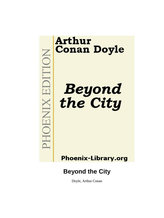# EDITION **XINEOF**

# **Arthur Conan Doyle**

**Beyond<br>the City** 

**Phoenix-Library.org** 

# **Beyond the City**

Doyle, Arthur Conan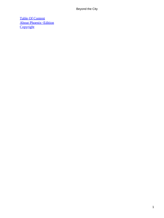[Table Of Content](#page-106-0) [About Phoenix−Edition](#page-107-0) **[Copyright](#page-110-0)**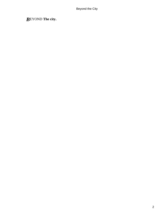# *B*EYOND **The city.**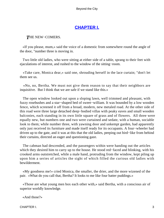# **[CHAPTER I.](#page-106-0)**

# *T*HE NEW−COMERS.

 «If you please, mum,» said the voice of a domestic from somewhere round the angle of the door, "number three is moving in.

 Two little old ladies, who were sitting at either side of a table, sprang to their feet with ejaculations of interest, and rushed to the window of the sitting−room.

 «Take care, Monica dear,» said one, shrouding herself in the lace curtain; "don't let them see us.

 «No, no, Bertha. We must not give them reason to say that their neighbors are inquisitive. But I think that we are safe if we stand like this.»

 The open window looked out upon a sloping lawn, well trimmed and pleasant, with fuzzy rosebushes and a star−shaped bed of sweet−william. It was bounded by a low wooden fence, which screened it off from a broad, modern, new metaled road. At the other side of this road were three large detached deep−bodied villas with peaky eaves and small wooden balconies, each standing in its own little square of grass and of flowers. All three were equally new, but numbers one and two were curtained and sedate, with a human, sociable look to them; while number three, with yawning door and unkempt garden, had apparently only just received its furniture and made itself ready for its occupants. A four−wheeler had driven up to the gate, and it was at this that the old ladies, peeping out bird−like from behind their curtains, directed an eager and questioning gaze.

 The cabman had descended, and the passengers within were handing out the articles which they desired him to carry up to the house. He stood red−faced and blinking, with his crooked arms outstretched, while a male hand, protruding from the window, kept piling up upon him a series of articles the sight of which filled the curious old ladies with bewilderment.

 «My goodness me!» cried Monica, the smaller, the drier, and the more wizened of the pair. «What do you call that, Bertha? It looks to me like four batter puddings.»

 «Those are what young men box each other with,» said Bertha, with a conscious air of superior worldly knowledge.

«And those?»

CHAPTER I. 2008 and 2008 and 2008 and 2008 and 2008 and 2008 and 2008 and 2008 and 2008 and 2008 and 2008 and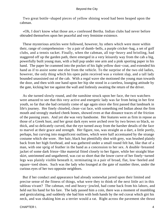Two great bottle−shaped pieces of yellow shining wood had been heaped upon the cabman.

 «Oh, I don't know what those are,» confessed Bertha. Indian clubs had never before obtruded themselves upon her peaceful and very feminine existence.

 These mysterious articles were followed, however, by others which were more within their, range of comprehension – by a pair of dumb−bells, a purple cricket−bag, a set of golf clubs, and a tennis racket. Finally, when the cabman, all top−heavy and bristling, had staggered off up the garden path, there emerged in a very leisurely way from the cab a big, powerfully built young man, with a bull pup under one arm and a pink sporting paper in his hand. The paper he crammed into the pocket of his light yellow dust−coat, and extended his hand as if to assist some one else from the vehicle. To the surprise of the two old ladies, however, the only thing which his open palm received was a violent slap, and a tall lady bounded unassisted out of the cab. With a regal wave she motioned the young man towards the door, and then with one hand upon her hip she stood in a careless, lounging attitude by the gate, kicking her toe against the wall and listlessly awaiting the return of the driver.

 As she turned slowly round, and the sunshine struck upon her face, the two watchers were amazed to see that this very active and energetic lady was far from being in her first youth, so far that she had certainly come of age again since she first passed that landmark in life's journey. Her finely chiseled, clean−cut face, with something red Indian about the firm mouth and strongly marked cheek bones, showed even at that distance traces of the friction of the passing years. And yet she was very handsome. Her features were as firm in repose as those of a Greek bust, and her great dark eyes were arched over by two brows so black, so thick, and so delicately curved, that the eye turned away from the harsher details of the face to marvel at their grace and strength. Her figure, too, was straight as a dart, a little portly, perhaps, but curving into magnificent outlines, which were half accentuated by the strange costume which she wore. Her hair, black but plentifully shot with grey, was brushed plainly back from her high forehead, and was gathered under a small round felt hat, like that of a man, with one sprig of feather in the band as a concession to her sex. A double−breasted jacket of some dark frieze−like material fitted closely to her figure, while her straight blue skirt, untrimmed and ungathered, was cut so short that the lower curve of her finely−turned legs was plainly visible beneath it, terminating in a pair of broad, flat, low−heeled and square−toed shoes. Such was the lady who lounged at the gate of number three, under the curious eyes of her two opposite neighbors.

 But if her conduct and appearance had already somewhat jarred upon their limited and precise sense of the fitness of things, what were they to think of the next little act in this tableau vivant? The cabman, red and heavy−jowled, had come back from his labors, and held out his hand for his fare. The lady passed him a coin, there was a moment of mumbling and gesticulating, and suddenly she had him with both hands by the red cravat which girt his neck, and was shaking him as a terrier would a rat. Right across the pavement she thrust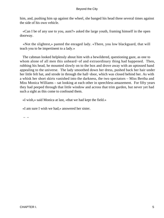him, and, pushing him up against the wheel, she banged his head three several times against the side of his own vehicle.

 «Can I be of any use to you, aunt?» asked the large youth, framing himself in the open doorway.

 «Not the slightest,» panted the enraged lady. «There, you low blackguard, that will teach you to be impertinent to a lady.»

 The cabman looked helplessly about him with a bewildered, questioning gaze, as one to whom alone of all men this unheard−of and extraordinary thing had happened. Then, rubbing his head, he mounted slowly on to the box and drove away with an uptossed hand appealing to the universe. The lady smoothed down her dress, pushed back her hair under her little felt hat, and strode in through the hall−door, which was closed behind her. As with a whisk her short skirts vanished into the darkness, the two spectators – Miss Bertha and Miss Monica Williams – sat looking at each other in speechless amazement. For fifty years they had peeped through that little window and across that trim garden, but never yet had such a sight as this come to confound them.

«I wish,» said Monica at last, «that we had kept the field.»

«I am sure I wish we had,» answered her sister.

 $-$  –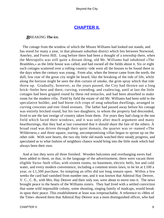# **[CHAPTER II.](#page-106-0)**

# *B*REAKING **The ice.**

 The cottage from the window of which the Misses Williams had looked out stands, and has stood for many a year, in that pleasant suburban district which lies between Norwood, Anerley, and Forest Hill. Long before there had been a thought of a township there, when the Metropolis was still quite a distant thing, old Mr. Williams had inhabited «The Brambles,» as the little house was called, and had owned all the fields about it. Six or eight such cottages scattered over a rolling country−side were all the houses to be found there in the days when the century was young. From afar, when the breeze came from the north, the dull, low roar of the great city might be heard, like the breaking of the tide of life, while along the horizon might be seen the dim curtain of smoke, the grim spray which that tide threw up. Gradually, however, as the years passed, the City had thrown out a long brick−feeler here and there, curving, extending, and coalescing, until at last the little cottages had been gripped round by these red tentacles, and had been absorbed to make room for the modern villa. Field by field the estate of old Mr. Williams had been sold to the speculative builder, and had borne rich crops of snug suburban dwellings, arranged in curving crescents and tree−lined avenues. The father had passed away before his cottage was entirely bricked round, but his two daughters, to whom the property had descended, lived to see the last vestige of country taken from them. For years they had clung to the one field which faced their windows, and it was only after much argument and many heartburnings, that they had at last consented that it should share the fate of the others. A broad road was driven through their quiet domain, the quarter was re−named «The Wilderness,» and three square, staring, uncompromising villas began to sprout up on the other side. With sore hearts, the two shy little old maids watched their steady progress, and speculated as to what fashion of neighbors chance would bring into the little nook which had always been their own.

 And at last they were all three finished. Wooden balconies and overhanging eaves had been added to them, so that, in the language of the advertisement, there were vacant three eligible Swiss−built villas, with sixteen rooms, no basement, electric bells, hot and cold water, and every modern convenience, including a common tennis lawn, to be let at L100 a year, or L1,500 purchase. So tempting an offer did not long remain open. Within a few weeks the card had vanished from number one, and it was known that Admiral Hay Denver, V. C., C. B., with Mrs. Hay Denver and their only son, were about to move into it. The news brought peace to the hearts of the Williams sisters. They had lived with a settled conviction that some wild impossible colony, some shouting, singing family of madcaps, would break in upon their peace. This establishment at least was irreproachable. A reference to «Men of the Time» showed them that Admiral Hay Denver was a most distinguished officer, who had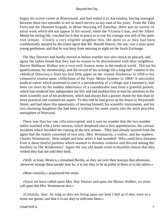begun his active career at Bomarsund, and had ended it at Alexandria, having managed between these two episodes to see as much service as any man of his years. From the Taku Forts and the *Shannon* brigade, to dhow−harrying off Zanzibar, there was no variety of naval work which did not appear in his record; while the Victoria Cross, and the Albert Medal for saving life, vouched for it that in peace as in war his courage was still of the same true temper. Clearly a very eligible neighbor this, the more so as they had been confidentially assured by the estate agent that Mr. Harold Denver, the son, was a most quiet young gentleman, and that he was busy from morning to night on the Stock Exchange.

 The Hay Denvers had hardly moved in before number two also struck its placard, and again the ladies found that they had no reason to be discontented with their neighbors. Doctor Balthazar Walker was a very well−known name in the medical world. Did not his qualifications, his membership, and the record of his writings fill a long half−column in the «Medical Directory,» from his first little paper on the «Gouty Diathesis» in 1859 to his exhaustive treatise upon «Affections of the Vaso−Motor System» in 1884? A successful medical career which promised to end in a presidentship of a college and a baronetcy, had been cut short by his sudden inheritance of a considerable sum from a grateful patient, which had rendered him independent for life, and had enabled him to turn his attention to the more scientific part of his profession, which had always had a greater charm for him than its more practical and commercial aspect. To this end he had given up his house in Weymouth Street, and had taken this opportunity of moving himself, his scientific instruments, and his two charming daughters (he had been a widower for some years) into the more peaceful atmosphere of Norwood.

 There was thus but one villa unoccupied, and it was no wonder that the two maiden ladies watched with a keen interest, which deepened into a dire apprehension, the curious incidents which heralded the coming of the new tenants. They had already learned from the agent that the family consisted of two only, Mrs. Westmacott, a widow, and her nephew, Charles Westmacott. How simple and how select it had sounded! Who could have foreseen from it these fearful portents which seemed to threaten violence and discord among the dwellers in The Wilderness? Again the two old maids cried in heartfelt chorus that they wished they had not sold their field.

 «Well, at least, Monica,» remarked Bertha, as they sat over their teacups that afternoon, «however strange these people may be, it is our duty to be as polite to them as to the others.»

«Most certainly,» acquiesced her sister.

 «Since we have called upon Mrs. Hay Denver and upon the Misses Walker, we must call upon this Mrs. Westmacott also.»

 «Certainly, dear. As long as they are living upon our land I feel as if they were in a sense our guests, and that it is our duty to welcome them.»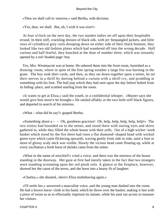«Then we shall call to−morrow,» said Bertha, with decision.

«Yes, dear, we shall. But, oh, I wish it was over!»

 At four o'clock on the next day, the two maiden ladies set off upon their hospitable errand. In their stiff, crackling dresses of black silk, with jet−bespangled jackets, and little rows of cylindrical grey curls drooping down on either side of their black bonnets, they looked like two old fashion plates which had wandered off into the wrong decade. Half curious and half fearful, they knocked at the door of number three, which was instantly opened by a red−headed page−boy.

 Yes, Mrs. Westmacott was at home. He ushered them into the front room, furnished as a drawing−room, where in spite of the fine spring weather a large fire was burning in the grate. The boy took their cards, and then, as they sat down together upon a settee, he set their nerves in a thrill by darting behind a curtain with a shrill cry, and prodding at something with his foot. The bull pup which they had seen upon the day before bolted from its hiding−place, and scuttled snarling from the room.

 «It wants to get at Eliza,» said the youth, in a confidential whisper. «Master says she would give him more'n he brought.» He smiled affably at the two little stiff black figures, and departed in search of his mistress.

«What – what did he say?» gasped Bertha.

«Something about  $a - -$ Oh, goodness gracious! Oh, help, help, help, help, help!» The two sisters had bounded on to the settee, and stood there with staring eyes and skirts gathered in, while they filled the whole house with their yells. Out of a high wicker−work basket which stood by the fire there had risen a flat diamond−shaped head with wicked green eyes which came flickering upwards, waving gently from side to side, until a foot or more of glossy scaly neck was visible. Slowly the vicious head came floating up, while at every oscillation a fresh burst of shrieks came from the settee.

 «What in the name of mischief!» cried a voice, and there was the mistress of the house standing in the doorway. Her gaze at first had merely taken in the fact that two strangers were standing screaming upon her red plush sofa. A glance at the fireplace, however, showed her the cause of the terror, and she burst into a hearty fit of laughter.

«Charley,» she shouted, «here's Eliza misbehaving again.»

 «I'll settle her,» answered a masculine voice, and the young man dashed into the room. He had a brown horse–cloth in his hand, which he threw over the basket, making it fast with a piece of twine so as to effectually imprison its inmate, while his aunt ran across to reassure her visitors.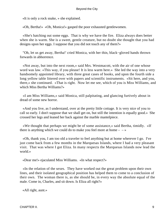«It is only a rock snake, » she explained.

«Oh, Bertha!» «Oh, Monica!» gasped the poor exhausted gentlewomen.

 «She's hatching out some eggs. That is why we have the fire. Eliza always does better when she is warm. She is a sweet, gentle creature, but no doubt she thought that you had designs upon her eggs. I suppose that you did not touch any of them?»

 "Oh, let us get away, Bertha!' cried Monica, with her thin, black−gloved hands thrown forwards in abhorrence.

 «Not away, but into the next room,» said Mrs. Westmacott, with the air of one whose word was law. «This way, if you please! It is less warm here.» She led the way into a very handsomely appointed library, with three great cases of books, and upon the fourth side a long yellow table littered over with papers and scientific instruments. «Sit here, and you, there,» she continued. «That is right. Now let me see, which of you is Miss Williams, and which Miss Bertha Williams?»

 «I am Miss Williams,» said Monica, still palpitating, and glancing furtively about in dread of some new horror.

 «And you live, as I understand, over at the pretty little cottage. It is very nice of you to call so early. I don't suppose that we shall get on, but still the intention is equally good.» She crossed her legs and leaned her back against the marble mantelpiece.

 «We thought that perhaps we might be of some assistance,» said Bertha, timidly. «If there is anything which we could do to make you feel more at home  $- \rightarrow \infty$ 

 «Oh, thank you, I am too old a traveler to feel anything but at home wherever I go. I've just come back from a few months in the Marquesas Islands, where I had a very pleasant visit. That was where I got Eliza. In many respects the Marquesas Islands now lead the world.»

«Dear me!» ejaculated Miss Williams. «In what respect?»

 «In the relation of the sexes. They have worked out the great problem upon their own lines, and their isolated geographical position has helped them to come to a conclusion of their own. The woman there is, as she should be, in every way the absolute equal of the male. Come in, Charles, and sit down. Is Eliza all right?»

«All right, aunt.»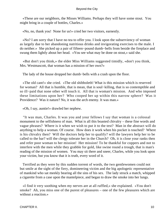«These are our neighbors, the Misses Williams. Perhaps they will have some stout. You might bring in a couple of bottles, Charles.»

«No, no, thank you! None for us!» cried her two visitors, earnestly.

 «No? I am sorry that I have no tea to offer you. I look upon the subserviency of woman as largely due to her abandoning nutritious drinks and invigorating exercises to the male. I do neither.» She picked up a pair of fifteen−pound dumb−bells from beside the fireplace and swung them lightly about her head. «You see what may be done on stout,» said she.

 «But don't you think,» the elder Miss Williams suggested timidly, «don't you think, Mrs. Westmascott, that woman has a mission of her own?»

The lady of the house dropped her dumb−bells with a crash upon the floor.

 «The old cant!» she cried. «The old shibboleth! What is this mission which is reserved for woman? All that is humble, that is mean, that is soul−killing, that is so contemptible and so ill−paid that none other will touch it. All that is woman's mission. And who imposed these limitations upon her? Who cooped her up within this narrow sphere? Was it Providence? Was it nature? No, it was the arch enemy. It was man.»

«Oh, I say, auntie!» drawled her nephew.

 "It was man, Charles. It was you and your fellows I say that woman is a colossal monument to the selfishness of man. What is all this boasted chivalry – these fine words and vague phrases? Where is it when we wish to put it to the test? Man in the abstract will do anything to help a woman. Of course. How does it work when his pocket is touched? Where is his chivalry then? Will the doctors help her to qualify? will the lawyers help her to be called to the bar? will the clergy tolerate her in the Church? Oh, it is close your ranks then and refer poor woman to her mission! Her mission! To be thankful for coppers and not to interfere with the men while they grabble for gold, like swine round a trough, that is man's reading of the mission of women. You may sit there and sneer, Charles, while you look upon your victim, but you know that it is truth, every word of it.

 Terrified as they were by this sudden torrent of words, the two gentlewomen could not but smile at the sight of the fiery, domineering victim and the big apologetic representative of mankind who sat meekly bearing all the sins of his sex. The lady struck a match, whipped a cigarette from a case upon the mantelpiece, and began to draw the smoke into her lungs.

 «I find it very soothing when my nerves are at all ruffled,» she explained. «You don't smoke? Ah, you miss one of the purest of pleasures – one of the few pleasures which are without a reaction.»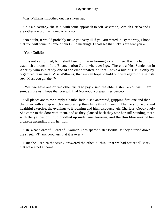Miss Williams smoothed out her silken lap.

 «It is a pleasure,» she said, with some approach to self−assertion, «which Bertha and I are rather too old−fashioned to enjoy.»

 «No doubt, It would probably make you very ill if you attempted it. By the way, I hope that you will come to some of our Guild meetings. I shall see that tickets are sent you.»

# «Your Guild?»

 «It is not yet formed, but I shall lose no time in forming a committee. It is my habit to establish a branch of the Emancipation Guild wherever I go. There is a Mrs. Sanderson in Anerley who is already one of the emancipated, so that I have a nucleus. It is only by organized resistance, Miss Williams, that we can hope to hold our own against the selfish sex. Must you go, then?»

 «Yes, we have one or two other visits to pay,» said the elder sister. «You will, I am sure, excuse us. I hope that you will find Norwood a pleasant residence.»

 «All places are to me simply a battle−field,» she answered, gripping first one and then the other with a grip which crumpled up their little thin fingers. «The days for work and healthful exercise, the evenings to Browning and high discourse, eh, Charles? Good−bye!» She came to the door with them, and as they glanced back they saw her still standing there with the yellow bull pup cuddled up under one forearm, and the thin blue reek of her cigarette ascending from her lips.

 «Oh, what a dreadful, dreadful woman!» whispered sister Bertha, as they hurried down the street. «Thank goodness that it is over.»

 «But she'll return the visit,» answered the other. "I think that we had better tell Mary that we are not at home.

–  $-$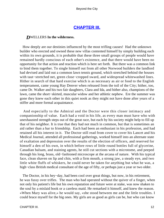# **[CHAPTER III.](#page-106-0)**

# *D*WELLERS **In the wilderness.**

 How deeply are our destinies influenced by the most trifling causes! Had the unknown builder who erected and owned these new villas contented himself by simply building each within its own grounds, it is probable that these three small groups of people would have remained hardly conscious of each other's existence, and that there would have been no opportunity for that action and reaction which is here set forth. But there was a common link to bind them together. To single himself out from all other Norwood builders the landlord had devised and laid out a common lawn tennis ground, which stretched behind the houses with taut−stretched net, green close−cropped sward, and widespread whitewashed lines. Hither in search of that hard exercise which is as necessary as air or food to the English temperament, came young Hay Denver when released from the toil of the City; hither, too, came Dr. Walker and his two fair daughters, Clara and Ida, and hither also, champions of the lawn, came the short−skirted, muscular widow and her athletic nephew. Ere the summer was gone they knew each other in this quiet nook as they might not have done after years of a stiffer and more formal acquaintance.

 And especially to the Admiral and the Doctor were this closer intimacy and companionship of value. Each had a void in his life, as every man must have who with unexhausted strength steps out of the great race, but each by his society might help to fill up that of his neighbor. It is true that they had not much in common, but that is sometimes an aid rather than a bar to friendship. Each had been an enthusiast in his profession, and had retained all his interest in it. The Doctor still read from cover to cover his Lancet and his Medical Journal, attended all professional gatherings, worked himself into an alternate state of exaltation and depression over the results of the election of officers, and reserved for himself a den of his own, in which before rows of little round bottles full of glycerine, Canadian balsam, and staining agents, he still cut sections with a microtome, and peeped through his long, brass, old−fashioned microscope at the arcana of nature. With his typical face, clean shaven on lip and chin, with a firm mouth, a strong jaw, a steady eye, and two little white fluffs of whiskers, he could never be taken for anything but what he was, a high−class British medical consultant of the age of fifty, or perhaps just a year or two older.

The Doctor, in his hey−day, had been cool over great things, but now, in his retirement, he was fussy over trifles. The man who had operated without the quiver of a finger, when not only his patient's life but his own reputation and future were at stake, was now shaken to the soul by a mislaid book or a careless maid. He remarked it himself, and knew the reason. «When Mary was alive,» he would say, «she stood between me and the little troubles. I could brace myself for the big ones. My girls are as good as girls can be, but who can know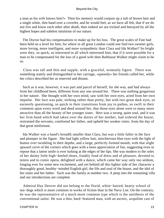a man as his wife knows him?» Then his memory would conjure up a tuft of brown hair and a single white, thin hand over a coverlet, and he would feel, as we have all felt, that if we do not live and know each other after death, then indeed we are tricked and betrayed by all the highest hopes and subtlest intuitions of our nature.

 The Doctor had his compensations to make up for his loss. The great scales of Fate had been held on a level for him; for where in all great London could one find two sweeter girls, more loving, more intelligent, and more sympathetic than Clara and Ida Walker? So bright were they, so quick, so interested in all which interested him, that if it were possible for a man to be compensated for the loss of a good wife then Balthazar Walker might claim to be so.

 Clara was tall and thin and supple, with a graceful, womanly figure. There was something stately and distinguished in her carriage, «queenly» her friends called her, while her critics described her as reserved and distant.

 Such as it was, however, it was part and parcel of herself, for she was, and had always from her childhood been, different from any one around her. There was nothing gregarious in her nature. She thought with her own mind, saw with her own eyes, acted from her own impulse. Her face was pale, striking rather than pretty, but with two great dark eyes, so earnestly questioning, so quick in their transitions from joy to pathos, so swift in their comment upon every word and deed around her, that those eyes alone were to many more attractive than all the beauty of her younger sister. Hers was a strong, quiet soul, and it was her firm hand which had taken over the duties of her mother, had ordered the house, restrained the servants, comforted her father, and upheld her weaker sister, from the day of that great misfortune.

 Ida Walker was a hand's breadth smaller than Clara, but was a little fuller in the face and plumper in the figure. She had light yellow hair, mischievous blue eyes with the light of humor ever twinkling in their depths, and a large, perfectly formed mouth, with that slight upward curve of the corners which goes with a keen appreciation of fun, suggesting even in repose that a latent smile is ever lurking at the edges of the lips. She was modern to the soles of her dainty little high−heeled shoes, frankly fond of dress and of pleasure, devoted to tennis and to comic opera, delighted with a dance, which came her way only too seldom, longing ever for some new excitement, and yet behind all this lighter side of her character a thoroughly good, healthy−minded English girl, the life and soul of the house, and the idol of her sister and her father. Such was the family at number two. A peep into the remaining villa and our introductions are complete.

 Admiral Hay Denver did not belong to the florid, white−haired, hearty school of sea−dogs which is more common in works of fiction than in the Navy List. On the contrary, he was the representative of a much more common type which is the antithesis of the conventional sailor. He was a thin, hard−featured man, with an ascetic, acquiline cast of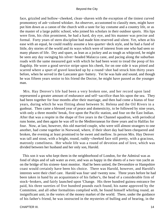face, grizzled and hollow−cheeked, clean−shaven with the exception of the tiniest curved promontory of ash−colored whisker. An observer, accustomed to classify men, might have put him down as a canon of the church with a taste for lay costume and a country life, or as the master of a large public school, who joined his scholars in their outdoor sports. His lips were firm, his chin prominent, he had a hard, dry eye, and his manner was precise and formal. Forty years of stern discipline had made him reserved and silent. Yet, when at his ease with an equal, he could readily assume a less quarter−deck style, and he had a fund of little, dry stories of the world and its ways which were of interest from one who had seen so many phases of life. Dry and spare, as lean as a jockey and as tough as whipcord, he might be seen any day swinging his silver−headed Malacca cane, and pacing along the suburban roads with the same measured gait with which he had been wont to tread the poop of his flagship. He wore a good service stripe upon his cheek, for on one side it was pitted and scarred where a spurt of gravel knocked up by a round−shot had struck him thirty years before, when he served in the Lancaster gun−battery. Yet he was hale and sound, and though he was fifteen years senior to his friend the Doctor, he might have passed as the younger man.

 Mrs. Hay Denver's life had been a very broken one, and her record upon land represented a greater amount of endurance and self−sacrifice than his upon the sea. They had been together for four months after their marriage, and then had come a hiatus of four years, during which he was flitting about between St. Helena and the Oil Rivers in a gunboat. Then came a blessed year of peace and domesticity, to be followed by nine years, with only a three months' break, five upon the Pacific station, and four on the East Indian. After that was a respite in the shape of five years in the Channel squadron, with periodical runs home, and then again he was off to the Mediterranean for three years and to Halifax for four. Now, at last, however, this old married couple, who were still almost strangers to one another, had come together in Norwood, where, if their short day had been chequered and broken, the evening at least promised to be sweet and mellow. In person Mrs. Hay Denver was tall and stout, with a bright, round, ruddy−cheeked face still pretty, with a gracious, matronly comeliness. Her whole life was a round of devotion and of love, which was divided between her husband and her only son, Harold.

 This son it was who kept them in the neighborhood of London, for the Admiral was as fond of ships and of salt water as ever, and was as happy in the sheets of a two−ton yacht as on the bridge of his sixteen−knot monitor. Had he been untied, the Devonshire or Hampshire coast would certainly have been his choice. There was Harold, however, and Harold's interests were their chief care. Harold was four−and−twenty now. Three years before he had been taken in hand by an acquaintance of his father's, the head of a considerable firm of stock−brokers, and fairly launched upon 'Change. His three hundred guinea entrance fee paid, his three sureties of five hundred pounds each found, his name approved by the Committee, and all other formalities complied with, he found himself whirling round, an insignificant unit, in the vortex of the money market of the world. There, under the guidance of his father's friend, he was instructed in the mysteries of bulling and of bearing, in the

CHAPTER III. 14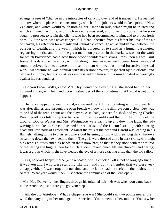strange usages of 'Change in the intricacies of carrying over and of transferring. He learned to know where to place his clients' money, which of the jobbers would make a price in New Zealands, and which would touch nothing but American rails, which might be trusted and which shunned. All this, and much more, he mastered, and to such purpose that he soon began to prosper, to retain the clients who had been recommened to him, and to attract fresh ones. But the work was never congenial. He had inherited from his father his love of the air of heaven, his affection for a manly and natural existence. To act as middleman between the pursuer of wealth, and the wealth which he pursued, or to stand as a human barometer, registering the rise and fall of the great mammon pressure in the markets, was not the work for which Providence had placed those broad shoulders and strong limbs upon his well knit frame. His dark open face, too, with his straight Grecian nose, well opened brown eyes, and round black−curled head, were all those of a man who was fashioned for active physical work. Meanwhile he was popular with his fellow brokers, respected by his clients, and beloved at home, but his spirit was restless within him and his mind chafed unceasingly against his surroundings.

 «Do you know, Willy,» said Mrs. Hay Denver one evening as she stood behind her husband's chair, with her hand upon his shoulder, «I think sometimes that Harold is not quite happy.»

 «He looks happy, the young rascal,» answered the Admiral, pointing with his cigar. It was after dinner, and through the open French window of the dining−room a clear view was to be had of the tennis court and the players. A set had just been finished, and young Charles Westmacott was hitting up the balls as high as he could send them in the middle of the ground. Doctor Walker and Mrs. Westmacott were pacing up and down the lawn, the lady waving her racket as she emphasized her remarks, and the Doctor listening with slanting head and little nods of agreement. Against the rails at the near end Harold was leaning in his flannels talking to the two sisters, who stood listening to him with their long dark shadows streaming down the lawn behind them. The girls were dressed alike in dark skirts, with light pink tennis blouses and pink bands on their straw hats, so that as they stood with the soft red of the setting sun tinging their faces, Clara, demure and quiet, Ida, mischievous and daring, it was a group which might have pleased the eye of a more exacting critic than the old sailor.

 «Yes, he looks happy, mother,» he repeated, with a chuckle. «It is not so long ago since it was you and I who were standing like that, and I don't remember that we were very unhappy either. It was croquet in our time, and the ladies had not reefed in their skirts quite so taut. What year would it be? Just before the commission of the Penelope.»

 Mrs. Hay Denver ran her fingers through his grizzled hair. «It was when you came back in the Antelope, just before you got your step.»

 «Ah, the old Antelope! What a clipper she was! She could sail two points nearer the wind than anything of her tonnage in the service. You remember her, mother. You saw her

CHAPTER III. 15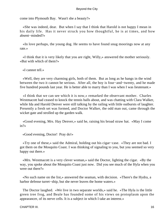come into Plymouth Bay. Wasn't she a beauty?»

 «She was indeed, dear. But when I say that I think that Harold is not happy I mean in his daily life. Has it never struck you how thoughtful, he is at times, and how absent−minded?»

 «In love perhaps, the young dog. He seems to have found snug moorings now at any rate.»

 «I think that it is very likely that you are right, Willy,» answered the mother seriously. «But with which of them?»

«I cannot tell.»

 «Well, they are very charming girls, both of them. But as long as he hangs in the wind between the two it cannot be serious. After all, the boy is four−and−twenty, and he made five hundred pounds last year. He is better able to marry than I was when I was lieutenant.»

 «I think that we can see which it is now,» remarked the observant mother. Charles Westmacott had ceased to knock the tennis balls about, and was chatting with Clara Walker, while Ida and Harold Denver were still talking by the railing with little outbursts of laughter. Presently a fresh set was formed, and Doctor Walker, the odd man out, came through the wicket gate and strolled up the garden walk.

 «Good evening, Mrs. Hay Denver,» said he, raising his broad straw hat. «May I come in?»

«Good evening, Doctor! Pray do!»

 «Try one of these,» said the Admiral, holding out his cigar−case. «They are not bad. I got them on the Mosquito Coast. I was thinking of signaling to you, but you seemed so very happy out there.»

 «Mrs. Westmacott is a very clever woman,» said the Doctor, lighting the cigar. «By the way, you spoke about the Mosquito Coast just now. Did you see much of the Hyla when you were out there?»

 «No such name on the list,» answered the seaman, with decision. «There's the Hydra, a harbor defense turret−ship, but she never leaves the home waters.»

 The Doctor laughed. «We live in two separate worlds,» said he. «The Hyla is the little green tree frog, and Beale has founded some of his views on protoplasm upon the appearancer, of its nerve cells. It is a subject in which I take an interest.»

CHAPTER III. 16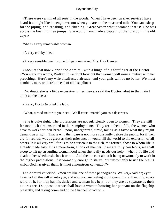«There were vermin of all sorts in the woods. When I have been on river service I have heard it at night like the engine−room when you are on the measured mile. You can't sleep for the piping, and croaking, and chirping. Great Scott! what a woman that is! She was across the lawn in three jumps. She would have made a captain of the foretop in the old days.»

"She is a very remarkable woman.

«A very cranky one.»

«A very sensible one in some things,» remarked Mrs. Hay Denver.

 «Look at that now!» cried the Admiral, with a lunge of his forefinger at the Doctor. «You mark my words, Walker, if we don't look out that woman will raise a mutiny with her preaching. Here's my wife disaffected already, and your girls will be no better. We must combine, man, or there's an end of all discipline.»

 «No doubt she is a little excessive in her views.» said the Doctor, «but in the main I think as she does.»

«Bravo, Doctor!» cried the lady.

«What, turned traitor to your sex! We'll court−martial you as a deserter.»

 «She is quite right. The professions are not sufficiently open to women. They are still far too much circumscribed in their employments. They are a feeble folk, the women who have to work for their bread – poor, unorganized, timid, taking as a favor what they might demand as a right. That is why their case is not more constantly before the public, for if their cry for redress was as great as their grievance it would fill the world to the exclusion of all others. It is all very well for us to be courteous to the rich, the refined, those to whom life is already made easy. It is a mere form, a trick of manner. If we are truly courteous, we shall stoop to lift up struggling womanhood when she really needs our help – when it is life and death to her whether she has it or not. And then to cant about it being unwomanly to work in the higher professions. It is womanly enough to starve, but unwomanly to use the brains which God has given them. Is it not a monstrous contention?»

 The Admiral chuckled. «You are like one of these phonographs, Walker,» said he; «you have had all this talked into you, and now you are reeling it off again. It's rank mutiny, every word of it, for man has his duties and woman has hers, but they are as separate as their natures are. I suppose that we shall have a woman hoisting her pennant on the flagship presently, and taking command of the Channel Squadron.»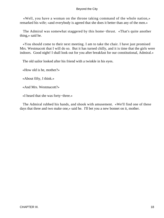«Well, you have a woman on the throne taking command of the whole nation,» remarked his wife; «and everybody is agreed that she does it better than any of the men.»

 The Admiral was somewhat staggered by this home−thrust. «That's quite another thing,» said he.

 «You should come to their next meeting. I am to take the chair. I have just promised Mrs. Westmacott that I will do so. But it has turned chilly, and it is time that the girls were indoors. Good night! I shall look out for you after breakfast for our constitutional, Admiral.»

The old sailor looked after his friend with a twinkle in his eyes.

«How old is he, mother?»

«About fifty, I think.»

«And Mrs. Westmacott?»

«I heard that she was forty−three.»

 The Admiral rubbed his hands, and shook with amusement. «We'll find one of these days that three and two make one,» said he. I'll bet you a new bonnet on it, mother.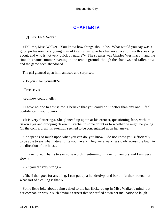# **[CHAPTER IV.](#page-106-0)**

# *A* SISTER'S **Secret.**

 «Tell me, Miss Walker! You know how things should be. What would you say was a good profession for a young man of twenty−six who has had no education worth speaking about, and who is not very quick by nature?» The speaker was Charles Westmacott, and the time this same summer evening in the tennis ground, though the shadows had fallen now and the game been abandoned.

The girl glanced up at him, amused and surprised.

«Do you mean yourself?»

«Precisely.»

«But how could I tell?»

 «I have no one to advise me. I believe that you could do it better than any one. I feel confidence in your opinion.»

 «It is very flattering.» She glanced up again at his earnest, questioning face, with its Saxon eyes and drooping flaxen mustache, in some doubt as to whether he might be joking. On the contrary, all his attention seemed to be concentrated upon her answer.

 «It depends so much upon what you can do, you know. I do not know you sufficiently to be able to say what natural gifts you have.» They were walking slowly across the lawn in the direction of the house.

 «I have none. That is to say none worth mentioning. I have no memory and I am very slow.»

«But you are very strong.»

 «Oh, if that goes for anything. I can put up a hundred−pound bar till further orders; but what sort of a calling is that?»

 Some little joke about being called to the bar flickered up in Miss Walker's mind, but her companion was in such obvious earnest that she stifled down her inclination to laugh.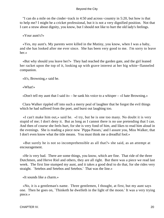"I can do a mile on the cinder−track in 4:50 and across−country in 5:20, but how is that to help me? I might be a cricket professional, but it is not a very dignified position. Not that I care a straw about dignity, you know, but I should not like to hurt the old lady's feelings.

«Your aunt's?»

 «Yes, my aunt's. My parents were killed in the Mutiny, you know, when I was a baby, and she has looked after me ever since. She has been very good to me. I'm sorry to leave her.»

 «But why should you leave her?» They had reached the garden gate, and the girl leaned her racket upon the top of it, looking up with grave interest at her big white−flanneled companion.

«It's, Browning,» said he.

«What!»

«Don't tell my aunt that I said it» – he sank his voice to a whisper – «I hate Browning.»

 Clara Walker rippled off into such a merry peal of laughter that he forgot the evil things which he had suffered from the poet, and burst out laughing too.

 «I can't make him out,» said he. «I try, but he is one too many. No doubt it is very stupid of me; I don't deny it. But as long as I cannot there is no use pretending that I can. And then of course she feels hurt, for she is very fond of him, and likes to read him aloud in the evenings. She is reading a piece now `Pippa Passes,' and I assure you, Miss Walker, that I don't even know what the title means. You must think me a dreadful fool.»

 «But surely he is not so incomprehensible as all that?» she said, as an attempt at encouragement.

 «He is very bad. There are some things, you know, which are fine. That ride of the three Dutchmen, and Herve Riel and others, they are all right. But there was a piece we read last week. The first line stumped my aunt, and it takes a good deal to do that, for she rides very straight. `Setebos and Setebos and Setebos.' That was the line.»

«It sounds like a charm.»

 «No, it is a gentleman's name. Three gentlemen, I thought, at first, but my aunt says one. Then he goes on, `Thinketh he dwelleth in the light of the moon.' It was a very trying piece.»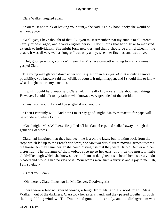Clara Walker laughed again.

 «You must not think of leaving your aunt,» she said. «Think how lonely she would be without you.»

 «Well, yes, I have thought of that. But you must remember that my aunt is to all intents hardly middle−aged, and a very eligible person. I don't think that her dislike to mankind extends to individuals. She might form new ties, and then I should be a third wheel in the coach. It was all very well as long as I was only a boy, when her first husband was alive.»

 «But, good gracious, you don't mean that Mrs. Westmacott is going to marry again?» gasped Clara.

 The young man glanced down at her with a question in his eyes «Oh, it is only a remote, possibility, you know,» said he. «Still, of course, it might happen, and I should like to know what I ought to turn my hand to.»

 «I wish I could help you,» said Clara. «But I really know very little about such things. However, I could talk to my father, who knows a very great deal of the world.»

«I wish you would. I should be so glad if you would.»

 «Then I certainly will. And now I must say good−night, Mr. Westmacott, for papa will be wondering where I am.»

 «Good night, Miss Walker.» He pulled off his flannel cap, and stalked away through the gathering darkness.

 Clara had imagined that they had been the last on the lawn, but, looking back from the steps which led up to the French windows, she saw two dark figures moving across towards the house. As they came nearer she could distinguish that they were Harold Denver and her sister Ida. The murmur of their voices rose up to her ears, and then the musical little child−like laugh which she knew so well. «I am so delighted,» she heard her sister say. «So pleased and proud. I had no idea of it. Your words were such a surprise and a joy to me. Oh, I am so glad.»

«Is that you, Ida?»

«Oh, there is Clara. I must go in, Mr. Denver. Good−night!»

 There were a few whispered words, a laugh from Ida, and a «Good−night, Miss Walker,» out of the darkness. Clara took her sister's hand, and they passed together through the long folding window. The Doctor had gone into his study, and the dining−room was

CHAPTER IV. 21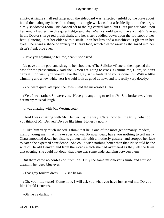empty. A single small red lamp upon the sideboard was reflected tenfold by the plate about it and the mahogany beneath it, though its single wick cast but a feeble light into the large, dimly shadowed room. Ida danced off to the big central lamp, but Clara put her hand upon her arm. «I rather like this quiet light,» said she. «Why should we not have a chat?» She sat in the Doctor's large red plush chair, and her sister cuddled down upon the footstool at her feet, glancing up at her elder with a smile upon her lips and a mischievous gleam in her eyes. There was a shade of anxiety in Clara's face, which cleared away as she gazed into her sister's frank blue eyes.

«Have you anything to tell me, dear?» she asked.

 Ida gave a little pout and shrug to her shoulder. «The Solicitor−General then opened the case for the prosecution,» said she. «You are going to cross−examine me, Clara, so don't deny it. I do wish you would have that grey satin foulard of yours done up. With a little trimming and a new white vest it would look as good as new, and it is really very dowdy.»

«You were quite late upon the lawn,» said the inexorable Clara.

 «Yes, I was rather. So were you. Have you anything to tell me?» She broke away into her merry musical laugh.

«I was chatting with Mr. Westmacott.»

 «And I was chatting with Mr. Denver. By the way, Clara, now tell me truly, what do you think of Mr. Denver? Do you like him? Honestly now!»

 «I like him very much indeed. I think that he is one of the most gentlemanly, modest, manly young men that I have ever known. So now, dear, have you nothing to tell me?» Clara smoothed down her sister's golden hair with a motherly gesture, and stooped her face to catch the expected confidence. She could wish nothing better than that Ida should be the wife of Harold Denver, and from the words which she had overheard as they left the lawn that evening, she could not doubt that there was some understanding between them.

 But there came no confession from Ida. Only the same mischievous smile and amused gleam in her deep blue eyes.

«That grey foulard dress  $- \rightarrow$  she began.

 «Oh, you little tease! Come now, I will ask you what you have just asked me. Do you like Harold Denver?»

«Oh, he's a darling!»

CHAPTER IV. 22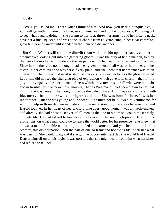# «Ida!»

 «Well, you asked me. That's what I think of him. And now, you dear old inquisitive, you will get nothing more out of me; so you must wait and not be too curious. I'm going off to see what papa is doing.» She sprang to her feet, threw her arms round her sister's neck, gave her a final squeeze, and was gone. A chorus from Olivette, sung in her clear contralto, grew fainter and fainter until it ended in the slam of a distant door.

 But Clara Walker still sat in the dim−lit room with her chin upon her hands, and her dreamy eyes looking out into the gathering gloom. It was the duty of her, a maiden, to play the part of a mother – to guide another in paths which her own steps had not yet trodden. Since her mother died not a thought had been given to herself, all was for her father and her sister. In her own eyes she was herself very plain, and she knew that her manner was often ungracious when she would most wish to be gracious. She saw her face as the glass reflected it, but she did not see the changing play of expression which gave it its charm – the infinite pity, the sympathy, the sweet womanliness which drew towards her all who were in doubt and in trouble, even as poor slow−moving Charles Westmacott had been drawn to her that night. She was herself, she thought, outside the pale of love. But it was very different with Ida, merry, little, quick−witted, bright−faced Ida. She was born for love. It was her inheritance. But she was young and innocent. She must not be allowed to venture too far without help in those dangerous waters. Some understanding there was between her and Harold Denver. In her heart of hearts Clara, like every good woman, was a match−maker, and already she had chosen Denver of all men as the one to whom she could most safely confide Ida. He had talked to her more than once on the serious topics of life, on his aspirations, on what a man could do to leave the world better for his presence. She knew that he was a man of a noble nature, high−minded and earnest. And yet she did not like this secrecy, this disinclination upon the part of one so frank and honest as Ida to tell her what was passing. She would wait, and if she got the opportunity next day she would lead Harold Denver himself on to this topic. It was possible that she might learn from him what her sister had refused to tell her.

–  $-$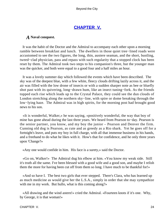# **[CHAPTER V.](#page-106-0)**

# *A* **Naval conquest.**

 It was the habit of the Doctor and the Admiral to accompany each other upon a morning ramble between breakfast and lunch. The dwellers in those quiet tree−lined roads were accustomed to see the two figures, the long, thin, austere seaman, and the short, bustling, tweed−clad physician, pass and repass with such regularity that a stopped clock has been reset by them. The Admiral took two steps to his companion's three, but the younger man was the quicker, and both were equal to a good four and a half miles an hour.

 It was a lovely summer day which followed the events which have been described. The sky was of the deepest blue, with a few white, fleecy clouds drifting lazily across it, and the air was filled with the low drone of insects or with a sudden sharper note as bee or bluefly shot past with its quivering, long−drawn hum, like an insect tuning−fork. As the friends topped each rise which leads up to the Crystal Palace, they could see the dun clouds of London stretching along the northern sky−line, with spire or dome breaking through the low−lying haze. The Admiral was in high spirits, for the morning post had brought good news to his son.

 «It is wonderful, Walker,» he was saying, «positively wonderful, the way that boy of mine has gone ahead during the last three years. We heard from Pearson to−day. Pearson is the senior partner, you know, and my boy the junior – Pearson and Denver the firm. Cunning old dog is Pearson, as cute and as greedy as a Rio shark. Yet he goes off for a fortnight's leave, and puts my boy in full charge, with all that immense business in his hands, and a freehand to do what he likes with it. How's that for confidence, and he only three years upon 'Change?»

«Any one would confide in him. His face is a surety,» said the Doctor.

 «Go on, Walker!» The Admiral dug his elbow at him. «You know my weak side. Still it's truth all the same. I've been blessed with a good wife and a good son, and maybe I relish them the more for having been cut off from them so long. I have much to be thankful for!»

 «And so have I. The best two girls that ever stepped. There's Clara, who has learned up as much medicine as would give her the L.S.A., simply in order that she may sympathize with me in my work. But hullo, what is this coming along?»

 «All drawing and the wind astern!» cried the Admiral. «Fourteen knots if it's one. Why, by George, it is that woman!»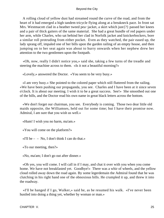A rolling cloud of yellow dust had streamed round the curve of the road, and from the heart of it had emerged a high tandem tricycle flying along at a breakneck pace. In front sat Mrs. Westmacott clad in a heather tweed pea–jacket, a skirt which just{?} passed her knees and a pair of thick gaiters of the same material. She had a great bundle of red papers under her arm, while Charles, who sat behind her clad in Norfolk jacket and knickerbockers, bore a similar roll protruding from either pocket. Even as they watched, the pair eased up, the lady sprang off, impaled one of her bills upon the garden railing of an empty house, and then jumping on to her seat again was about to hurry onwards when her nephew drew her attention to the two gentlemen upon the footpath.

 «Oh, now, really I didn't notice you,» said she, taking a few turns of the treadle and steering the machine across to them. «Is it not a beautiful morning?»

«Lovely,» answered the Doctor. «You seem to be very busy.»

 «I am very busy.» She pointed to the colored paper which still fluttered from the railing. «We have been pushing our propaganda, you see. Charles and I have been at it since seven o'clock. It is about our meeting. I wish it to be a great success. See!» She smoothed out one of the bills, and the Doctor read his own name in great black letters across the bottom.

 «We don't forget our chairman, you see. Everybody is coming. Those two dear little old maids opposite, the Williamses, held out for some time; but I have their promise now. Admiral, I am sure that you wish us well.»

«Hum! I wish you no harm, ma'am.»

«You will come on the platform?»

«I'll be  $-$  – No, I don't think I can do that.»

«To our meeting, then?»

«No, ma'am; I don't go out after dinner.»

 «Oh yes, you will come. I will call in if I may, and chat it over with you when you come home. We have not breakfasted yet. Goodbye!» There was a whir of wheels, and the yellow cloud rolled away down the road again. By some legerdemain the Admiral found that he was clutching in his right hand one of the obnoxious bills. He crumpled it up, and threw it into the roadway.

 «I'll be hanged if I go, Walker,» said he, as be resumed his walk. «I've never been hustled into doing a thing yet, whether by woman or man.»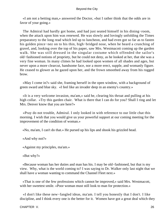«I am not a betting man,» answered the Doctor, «but I rather think that the odds are in favor of your going.»

 The Admiral had hardly got home, and had just seated himself in his dining−room, when the attack upon him was renewed. He was slowly and lovingly unfolding the Times preparatory to the long read which led up to luncheon, and had even got so far as to fasten his golden pince−nez on to his thin, high−bridged nose, when he heard a crunching of gravel, and, looking over the top of his paper, saw Mrs. Westmacott coming up the garden walk. She was still dressed in the singular costume which offended the sailor's old−fashioned notions of propriety, but he could not deny, as he looked at her, that she was a very fine woman. In many climes he had looked upon women of all shades and ages, but never upon a more clearcut, handsome face, nor a more erect, supple, and womanly figure. He ceased to glower as he gazed upon her, and the frown smoothed away from his rugged brow.

 «May I come in?» said she, framing herself in the open window, with a background of green sward and blue sky. «I feel like an invader deep in an enemy's country.»

 «It is a very welcome invasion, ma'am,» said he, clearing his throat and pulling at his high collar. «Try this garden chair. What is there that I can do for you? Shall I ring and let Mrs. Denver know that you are here?»

 «Pray do not trouble, Admiral. I only looked in with reference to our little chat this morning. I wish that you would give us your powerful support at our coming meeting for the improvement of the condition of woman.»

«No, ma'am, I can't do that.» He pursed up his lips and shook his grizzled head.

«And why not?»

«Against my principles, ma'am.»

«But why?»

 «Because woman has her duties and man has his. I may be old−fashioned, but that is my view. Why, what is the world coming to? I was saying to Dr. Walker only last night that we shall have a woman wanting to command the Channel Fleet next.»

 «That is one of the few professions which cannot be improved,» said Mrs. Westmacott, with her sweetest smile. «Poor woman must still look to man for protection.»

 «I don't like these new−fangled ideas, ma'am. I tell you honestly that I don't. I like discipline, and I think every one is the better for it. Women have got a great deal which they

CHAPTER V. 26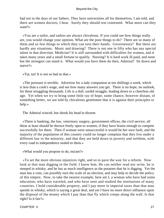had not in the days of our fathers. They have universities all for themselves, I am told, and there are women doctors, I hear. Surely they should rest contented. What more can they want?»

 «You are a sailor, and sailors are always chivalrous. If you could see how things really are, you would change your opinion. What are the poor things to do? There are so many of them and so few things to which they can turn their hands. Governesses? But there are hardly any situations. Music and drawing? There is not one in fifty who has any special talent in that direction. Medicine? It is still surrounded with difficulties for women, and it takes many years and a small fortune to qualify. Nursing? It is hard work ill paid, and none but the strongest can stand it. What would you have them do then, Admiral? Sit down and starve?»

«Tut, tut! It is not so bad as that.»

 «The pressure is terrible. Advertise for a lady companion at ten shillings a week, which is less than a cook's wage, and see how many answers you get. There is no hope, no outlook, for these struggling thousands. Life is a dull, sordid struggle, leading down to a cheerless old age. Yet when we try to bring some little ray of hope, some chance, however distant, of something better, we are told by chivalrous gentlemen that it is against their principles to help.»

The Admiral winced, but shook his head in dissent.

 «There is banking, the law, veterinary surgery, government offices, the civil service, all these at least should be thrown freely open to women, if they have brains enough to compete successfully for them. Then if woman were unsuccessful it would be her own fault, and the majority of the population of this country could no longer complain that they live under a different law to the minority, and that they are held down in poverty and serfdom, with every road to independence sealed to them.»

«What would you propose to do, ma'am?»

 «To set the more obvious injustices right, and so to pave the way for a reform. Now look at that man digging in the field. I know him. He can neither read nor write, he is steeped in whisky, and he has as much intelligence as the potatoes that he is digging. Yet the man has a vote, can possibly turn the scale of an election, and may help to decide the policy of this empire. Now, to take the nearest example, here am I, a woman who have had some education, who have traveled, and who have seen and studied the institutions of many countries. I hold considerable property, and I pay more in imperial taxes than that man spends in whisky, which is saying a great deal, and yet I have no more direct influence upon the disposal of the money which I pay than that fly which creeps along the wall. Is that right? Is it fair?»

CHAPTER V. 27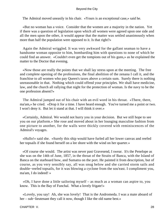The Admiral moved uneasily in his chair. «Yours is an exceptional case,» said he.

 «But no woman has a voice. Consider that the women are a majority in the nation. Yet if there was a question of legislation upon which all women were agreed upon one side and all the men upon the other, it would appear that the matter was settled unanimously when more than half the population were opposed to it. Is that right?»

 Again the Admiral wriggled. It was very awkward for the gallant seaman to have a handsome woman opposite to him, bombarding him with questions to none of which he could find an answer. «Couldn't even get the tompions out of his guns,» as he explained the matter to the Doctor that evening.

 «Now those are really the points that we shall lay stress upon at the meeting. The free and complete opening of the professions, the final abolition of the zenana I call it, and the franchise to all women who pay Queen's taxes above a certain sum. Surely there is nothing unreasonable in that. Nothing which could offend your principles. We shall have medicine, law, and the church all rallying that night for the protection of woman. Is the navy to be the one profession absent?»

 The Admiral jumped out of his chair with an evil word in his throat. «There, there, ma'am,» he cried. «Drop it for a time. I have heard enough. You've turned me a point or two. I won't deny it. But let it stand at that. I will think it over.»

 «Certainly, Admiral. We would not hurry you in your decision. But we still hope to see you on our platform.» She rose and moved about in her lounging masculine fashion from one picture to another, for the walls were thickly covered with reminiscences of the Admiral's voyages.

 «Hullo!» said she. «Surely this ship would have furled all her lower canvas and reefed her topsails if she found herself on a lee shore with the wind on her quarter.»

 «Of course she would. The artist was never past Gravesend, I swear. It's the Penelope as she was on the 14th of June, 1857, in the throat of the Straits of Banca, with the Island of Banca on the starboard bow, and Sumatra on the port. He painted it from description, but of course, as you very sensibly say, all was snug below and she carried storm sails and double−reefed topsails, for it was blowing a cyclone from the sou'east. I compliment you, ma'am, I do indeed! »

 «Oh, I have done a little sailoring myself – as much as a woman can aspire to, you know. This is the Bay of Funchal. What a lovely frigate!»

 «Lovely, you say! Ah, she was lovely! That is the Andromeda. I was a mate aboard of her – sub−lieutenant they call it now, though I like the old name best.»

CHAPTER V. 28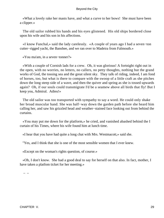«What a lovely rake her masts have, and what a curve to her bows! She must have been a clipper.»

 The old sailor rubbed his hands and his eyes glistened. His old ships bordered close upon his wife and his son in his affections.

 «I know Funchal,» said the lady carelessly. «A couple of years ago I had a seven−ton cutter−rigged yacht, the Banshee, and we ran over to Madeira from Falmouth.»

«You ma'am, in a seven−tonner?»

 «With a couple of Cornish lads for a crew. Oh, it was glorious! A fortnight right out in the open, with no worries, no letters, no callers, no petty thoughts, nothing but the grand works of God, the tossing sea and the great silent sky. They talk of riding, indeed, I am fond of horses, too, but what is there to compare with the swoop of a little craft as she pitches down the long steep side of a wave, and then the quiver and spring as she is tossed upwards again? Oh, if our souls could transmigrate I'd be a seamew above all birds that fly! But I keep you, Admiral. Adieu!»

 The old sailor was too transported with sympathy to say a word. He could only shake her broad muscular hand. She was half−way down the garden path before she heard him calling her, and saw his grizzled head and weather−stained face looking out from behind the curtains.

 «You may put me down for the platform,» he cried, and vanished abashed behind the I curtain of his Times, where his wife found him at lunch time.

«I hear that you have had quite a long chat with Mrs. Westmacott,» said she.

"Yes, and I think that she is one of the most sensible women that I ever knew.

«Except on the woman's rights question, of course.»

 «Oh, I don't know. She had a good deal to say for herself on that also. In fact, mother, I have taken a platfom ticket for her meeting.»

–  $-$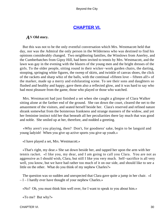# **[CHAPTER VI.](#page-106-0)**

# *A*N **Old story.**

 But this was not to be the only eventful conversation which Mrs. Westmacott held that day, nor was the Admiral the only person in the Wilderness who was destined to find his opinions considerably changed. Two neighboring families, the Winslows from Anerley, and the Cumberbatches from Gipsy Hill, had been invited to tennis by Mrs. Westmacott, and the lawn was gay in the evening with the blazers of the young men and the bright dresses of the girls. To the older people, sitting round in their wicker−work garden chairs, the darting, stooping, springing white figures, the sweep of skirts, and twinkle of canvas shoes, the click of the rackets and sharp whiz of the balls, with the continual «fifteen love – fifteen all!» of the marker, made up a merry and exhilarating scene. To see their sons and daughters so flushed and healthy and happy, gave them also a reflected glow, and it was hard to say who had most pleasure from the game, those who played or those who watched.

 Mrs. Westmacott had just finished a set when she caught a glimpse of Clara Walker sitting alone at the farther end of the ground. She ran down the court, cleared the net to the amazement of the visitors, and seated herself beside her. Clara's reserved and refined nature shrank somewhat from the boisterous frankness and strange manners of the widow, and yet her feminine instinct told her that beneath all her peculiarities there lay much that was good and noble. She smiled up at her, therefore, and nodded a greeting.

 «Why aren't you playing, then? Don't, for goodness' sake, begin to be languid and young ladyish! When you give up active sports you give up youth.»

«I have played a set, Mrs. Westmacott.»

 «That's right, my dear.» She sat down beside her, and tapped her upon the arm with her tennis racket. «I like you, my dear, and I am going to call you Clara. You are not as aggressive as I should wish, Clara, but still I like you very much. Self−sacrifice is all very well, you know, but we have had rather too much of it on our side, and should like to see a little on the other. What do you think of my nephew Charles?»

The question was so sudden and unexpected that Clara gave quite a jump in her chair. «I – I – I hardly ever have thought of your nephew Charles.»

«No? Oh, you must think him well over, for I want to speak to you about him.»

«To me? But why?»

CHAPTER VI. 2002. THE STRING STRING STRING STRING STRING STRING STRING STRING STRING STRING STRING STRING STRING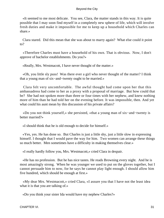«It seemed to me most delicate. You see, Clara, the matter stands in this way. It is quite possible that I may soon find myself in a completely new sphere of life, which will involve fresh duties and make it impossible for me to keep up a household which Charles can share.»

 Clara stared. Did this mean that she was about to marry again? What else could it point to?

 «Therefore Charles must have a household of his own. That is obvious. Now, I don't approve of bachelor establishments. Do you?»

«Really, Mrs. Westmacott, I have never thought of the matter.»

 «Oh, you little sly puss! Was there ever a girl who never thought of the matter? I think that a young man of six−and−twenty ought to be married.»

 Clara felt very uncomfortable. The awful thought had come upon her that this ambassadress had come to her as a proxy with a proposal of marriage. But how could that be? She had not spoken more than three or four times with her nephew, and knew nothing more of him than he had told her on the evening before. It was impossible, then. And yet what could his aunt mean by this discussion of his private affairs?

 «Do you not think yourself,» she persisted, «that a young man of six−and−twenty is better married?»

«I should think that he is old enough to decide for himself.»

 «Yes, yes. He has done so. But Charles is just a little shy, just a little slow in expressing himself. I thought that I would pave the way for him. Two women can arrange these things so much better. Men sometimes have a difficulty in making themselves clear.»

«I really hardly follow you, Mrs. Westmacott,» cried Clara in despair.

 «He has no profession. But he has nice tastes. He reads Browning every night. And he is most amazingly strong. When he was younger we used to put on the gloves together, but I cannot persuade him to now, for he says he cannot play light enough. I should allow him five hundred, which should be enough at first.»

 «My dear Mrs. Westmacott,» cried Clara, «I assure you that I have not the least idea what it is that you are talking of.»

«Do you think your sister Ida would have my nephew Charles?»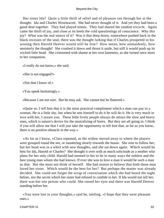Her sister Ida? Quite a little thrill of relief and of pleasure ran through her at the thought. Ida and Charles Westmacott. She had never thought of it. And yet they had been a good deal together. They had played tennis. They had shared the tandem tricycle. Again came the thrill of joy, and close at its heels the cold questionings of conscience. Why this joy? What was the real source of it? Was it that deep down, somewhere pushed back in the black recesses of the soul, there was the thought lurking that if Charles prospered in his wooing then Harold Denver would still be free? How mean, how unmaidenly, how unsisterly the thought! She crushed it down and thrust it aside, but still it would push up its wicked little head. She crimsoned with shame at her own baseness, as she turned once more to her companion.

«I really do not know,» she said.

«She is not engaged?»

«Not that I know of.»

«You speak hesitatingly.»

«Because I am not sure. But he may ask. She cannot but be flattered.»

 «Quite so. I tell him that it is the most practical compliment which a man can pay to a woman. He is a little shy, but when he sets himself to do it he will do it. He is very much in love with her, I assure you. These little lively people always do attract the slow and heavy ones, which is nature's device for the neutralizing of bores. But they are all going in. I think if you will allow me that I will just take the opportunity to tell him that, as far as you know, there is no positive obstacle in the way.»

 «As far as I know, »Clara repeated, as the widow moved away to where the players were grouped round the net, or sauntering slowly towards the house. She rose to follow her, but her head was in a whirl with new thoughts, and she sat down again. Which would be best for Ida, Harold or Charles? She thought it over with as much solicitude as a mother who plans for her only child. Harold had seemed to her to be in many ways the noblest and the best young man whom she had known. If ever she was to love a man it would be such a man as that. But she must not think of herself. She had reason to believe that both these men loved her sister. Which would be the best for her? But perhaps the matter was already decided. She could not forget the scrap of conversation which she had heard the night before, nor the secret which her sister had refused to confide to her. If Ida would not tell her, there was but one person who could. She raised her eyes and there was Harold Denver standing before her.

 «You were lost in your thoughts,» said he, smiling. «I hope that they were pleasant ones.»

CHAPTER VI. 32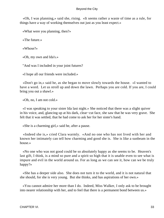«Oh, I was planning,» said she, rising. «It seems rather a waste of time as a rule, for things have a way of working themselves out just as you least expect.»

«What were you planning, then?»

«The future.»

«Whose?»

«Oh, my own and Ida's.»

"And was I included in your joint futures?

«I hope all our friends were included.»

 «Don't go in,» said he, as she began to move slowly towards the house. «I wanted to have a word. Let us stroll up and down the lawn. Perhaps you are cold. If you are, I could bring you out a shawl.»

«Oh, no, I am not cold.»

 «I was speaking to your sister Ida last night.» She noticed that there was a slight quiver in his voice, and, glancing up at his dark, clear−cut face, she saw that he was very grave. She felt that it was settled, that he had come to ask her for her sister's hand.

«She is a charming girl,» said he, after a pause.

 «Indeed she is,» cried Clara warmly. «And no one who has not lived with her and known her intimately can tell how charming and good she is. She is like a sunbeam in the house.»

 «No one who was not good could be so absolutely happy as she seems to be. Heaven's last gift, I think, is a mind so pure and a spirit so high that it is unable even to see what is impure and evil in the world around us. For as long as we can see it, how can we be truly happy?»

 «She has a deeper side also. She does not turn it to the world, and it is not natural that she should, for she is very young. But she thinks, and has aspirations of her own.»

 «You cannot admire her more than I do. Indeed, Miss Walker, I only ask to be brought into nearer relationship with her, and to feel that there is a permanent bond between us.»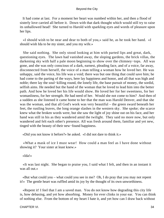It had come at last. For a moment her heart was numbed within her, and then a flood of sisterly love carried all before it. Down with that dark thought which would still try to raise its unhallowed head! She turned to Harold with sparkling eyes and words of pleasure upon her lips.

 «I should wish to be near and dear to both of you,» said he, as he took her hand. «I should wish Ida to be my sister, and you my wife.»

 She said nothing. She only stood looking at him with parted lips and great, dark, questioning eyes. The lawn had vanished away, the sloping gardens, the brick villas, the darkening sky with half a pale moon beginning to show over the chimney−tops. All was gone, and she was only conscious of a dark, earnest, pleading face, and of a voice, far away, disconnected from herself, the voice of a man telling a woman how he loved her. He was unhappy, said the voice, his life was a void; there was but one thing that could save him; he had come to the parting of the ways, here lay happiness and honor, and all that was high and noble; there lay the soul−killing round, the lonely life, the base pursuit of money, the sordid, selfish aims. He needed but the hand of the woman that he loved to lead him into the better path. And how he loved her his life would show. He loved her for her sweetness, for her womanliness, for her strength. He had need of her. Would she not come to him? And then of a sudden as she listened it came home to her that the man was Harold Denver, and that she was the woman, and that all God's work was very beautiful – the green sward beneath her feet, the rustling leaves, the long orange slashes in the western sky. She spoke; she scarce knew what the broken words were, but she saw the light of joy shine out on his face, and her hand was still in his as they wandered amid the twilight. They said no more now, but only wandered and felt each other's presence. All was fresh around them, familiar and yet new, tinged with the beauty of their new−found happiness.

«Did you not know it before?» he asked. «I did not dare to think it.»

 «What a mask of ice I must wear! How could a man feel as I have done without showing it? Your sister at least knew.»

«Ida!»

 «It was last night. She began to praise you, I said what I felt, and then in an instant it was all out.»

 «But what could you – what could you see in me? Oh, I do pray that you may not repent it!» The gentle heart was ruffled amid its joy by the thought of its own unworthiness.

 «Repent it! I feel that I am a saved man. You do not know how degrading this city life is, how debasing, and yet how absorbing. Money for ever clinks in your ear. You can think of nothing else. From the bottom of my heart I hate it, and yet how can I draw back without

CHAPTER VI. 234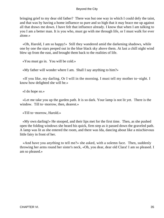bringing grief to my dear old father? There was but one way in which I could defy the taint, and that was by having a home influence so pure and so high that it may brace me up against all that draws me down. I have felt that influence already. I know that when I am talking to you I am a better man. It is you who, must go with me through life, or I must walk for ever alone.»

 «Oh, Harold, I am so happy!» Still they wandered amid the darkening shadows, while one by one the stars peeped out in the blue black sky above them. At last a chill night wind blew up from the east, and brought them back to the realities of life.

«You must go in. You will be cold.»

«My father will wonder where I am. Shall I say anything to him?»

 «If you like, my darling. Or I will in the morning. I must tell my mother to−night. I know how delighted she will be.»

«I do hope so.»

 «Let me take you up the garden path. It is so dark. Your lamp is not lit yet. There is the window. Till to−morrow, then, dearest.»

«Till to−morrow, Harold.»

 «My own darling!» He stooped, and their lips met for the first time. Then, as she pushed open the folding windows she heard his quick, firm step as it passed down the graveled path. A lamp was lit as she entered the room, and there was Ida, dancing about like a mischievous little fairy in front of her.

 «And have you anything to tell me?» she asked, with a solemn face. Then, suddenly throwing her arms round her sister's neck, «Oh, you dear, dear old Clara! I am so pleased. I am so pleased.»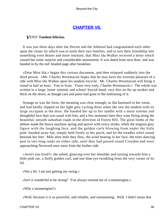# **[CHAPTER VII.](#page-106-0)**

# *V*ENIT **Tandem felicitas.**

 It was just three days after the Doctor and the Admiral had congratulated each other upon the closer tie which was to unite their two families, and to turn their friendship into something even dearer and more intimate, that Miss Ida Walker received a letter which caused her some surprise and considerable amusement. It was dated from next door, and was handed in by the red−headed page after breakfast.

 «Dear Miss Ida,» began this curious document, and then relapsed suddenly into the third person. «Mr. Charles Westmacott hopes that he may have the extreme pleasure of a ride with Miss Ida Walker upon his tandem tricycle. Mr. Charles Westmacott will bring it round in half an hour. You in front. Yours very truly, Charles Westmacott.» The whole was written in a large, loose−jointed, and school−boyish hand, very thin on the up strokes and thick on the down, as though care and pains had gone to the fashioning of it.

 Strange as was the form, the meaning was clear enough; so Ida hastened to her room, and had hardly slipped on her light grey cycling dress when she saw the tandem with its large occupant at the door. He handed her up to her saddle with a more solemn and thoughtful face than was usual with him, and a few moments later they were flying along the beautiful, smooth suburban roads in the direction of Forest Hill. The great limbs of the athlete made the heavy machine spring and quiver with every stroke; while the mignon grey figure with the laughing face, and the golden curls blowing from under the little pink−banded straw hat, simply held firmly to her perch, and let the treadles whirl round beneath her feet. Mile after mile they flew, the wind beating in her face, the trees dancing past in two long ranks on either side, until they had passed round Croydon and were approaching Norwood once more from the further side.

 «Aren't you tired?» she asked, glancing over her shoulder and turning towards him a little pink ear, a fluffy golden curl, and one blue eye twinkling from the very corner of its lid.

«Not a bit. I am just getting my swing.»

«Isn't it wonderful to be strong? You always remind me of a steamengine.»

«Why a steamengine?»

«Well, because it is so powerful, and reliable, and unreasoning. Well, I didn't mean that

CHAPTER VII. 36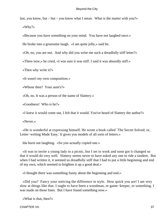last, you know, but – but – you know what I mean. What is the matter with you?» «Why?»

«Because you have something on your mind. You have not laughed once.»

He broke into a gruesome laugh. «I am quite jolly,» said he.

«Oh, no, you are not. And why did you write me such a dreadfully stiff letter?»

«There now,» he cried, «I was sure it was stiff. I said it was absurdly stiff.»

«Then why write it?»

«It wasn't my own composition.»

«Whose then? Your aunt's?»

«Oh, no. It was a person of the name of Slattery.»

«Goodness! Who is he?»

«I knew it would come out, I felt that it would. You've heard of Slattery the author?»

«Never.»

 «He is wonderful at expressing himself. He wrote a book called `The Secret Solved; or, Letter−writing Made Easy.' It gives you models of all sorts of letters.»

Ida burst out laughing. «So you actually copied one.»

 «It was to invite a young lady to a picnic, but I set to work and soon got it changed so that it would do very well. Slattery seems never to have asked any one to ride a tandem. But when I had written it, it seemed so dreadfully stiff that I had to put a little beginning and end of my own, which seemed to brighten it up a good deal.»

«I thought there was something funny about the beginning and end.»

 «Did you? Fancy your noticing the difference in style. How quick you are! I am very slow at things like that. I ought to have been a woodman, or game−keeper, or something. I was made on those lines. But I have found something now.»

«What is that, then?»

CHAPTER VII. 37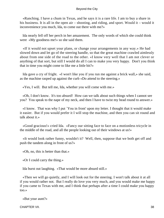«Ranching. I have a chum in Texas, and he says it is a rare life. I am to buy a share in his business. It is all in the open air – shooting, and riding, and sport. Would it – would it inconvenience you much, Ida, to come out there with me?»

 Ida nearly fell off her perch in her amazement. The only words of which she could think were «My goodness me!» so she said them.

 «If it would not upset your plans, or change your arrangements in any way.» He had slowed down and let go of the steering handle, so that the great machine crawled aimlessly about from one side of the road to the other. «I know very well that I am not clever or anything of that sort, but still I would do all I can to make you very happy. Don't you think that in time you might come to like me a little bit?»

 Ida gave a cry of fright. «I won't like you if you run me against a brick wall,» she said, as the machine rasped up against the curb «Do attend to the steering.»

«Yes, I will. But tell me, Ida, whether you will come with me.»

 «Oh, I don't know. It's too absurd! How can we talk about such things when I cannot see you? You speak to the nape of my neck, and then I have to twist my head round to answer.»

 «I know. That was why I put `You in front' upon my letter. I thought that it would make it easier. But if you would prefer it I will stop the machine, and then you can sit round and talk about it.»

 «Good gracious!» cried Ida. «Fancy our sitting face to face on a motionless tricycle in the middle of the road, and all the people looking out of their windows at us!»

 «It would look rather funny, wouldn't it? Well, then, suppose that we both get off and push the tandem along in front of us?»

«Oh, no, this is better than that.»

«Or I could carry the thing.»

Ida burst out laughing. «That would be more absurd still.»

 «Then we will go quietly, and I will look out for the steering. I won't talk about it at all if you would rather not. But I really do love you very much, and you would make me happy if you came to Texas with me, and I think that perhaps after a time I could make you happy too.»

«But your aunt?»

CHAPTER VII. 38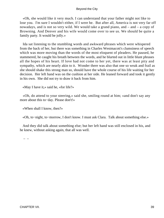«Oh, she would like it very much. I can understand that your father might not like to lose you. I'm sure I wouldn't either, if I were he. But after all, America is not very far off nowadays, and is not so very wild. We would take a grand piano, and  $-$  and  $-$  a copy of Browning. And Denver and his wife would come over to see us. We should be quite a family party. It would be jolly.»

 Ida sat listening to the stumbling words and awkward phrases which were whispered from the back of her, but there was something in Charles Westmacott's clumsiness of speech which was more moving than the words of the most eloquent of pleaders. He paused, he stammered, he caught his breath between the words, and he blurted out in little blunt phrases all the hopes of his heart. If love had not come to her yet, there was at least pity and sympathy, which are nearly akin to it. Wonder there was also that one so weak and frail as she should shake this strong man so, should have the whole course of his life waiting for her decision. Her left hand was on the cushion at her side. He leaned forward and took it gently in his own. She did not try to draw it back from him.

«May I have it,» said he, «for life?»

 «Oh, do attend to your steering,» said she, smiling round at him; «and don't say any more about this to−day. Please don't!»

«When shall I know, then?»

«Oh, to−night, to−morrow, I don't know. I must ask Clara. Talk about something else.»

 And they did talk about something else; but her left hand was still enclosed in his, and he knew, without asking again, that all was well.

 $-$  –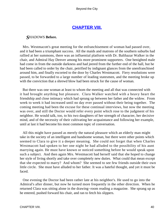# **[CHAPTER VIII.](#page-106-0)**

# *S*HADOWS **Before.**

 Mrs. Westmacott's great meeting for the enfranchisement of woman had passed over, and it had been a triumphant success. All the maids and matrons of the southern suburbs had rallied at her summons, there was an influential platform with Dr. Balthazar Walker in the chair, and Admiral Hay Denver among his more prominent supporters. One benighted male had come in from the outside darkness and had jeered from the further end of the hall, but he had been called to order by the chair, petrified by indignant glances from the unenfranchised around him, and finally escorted to the door by Charles Westmacott. Fiery resolutions were passed, to be forwarded to a large number of leading statesmen, and the meeting broke up with the conviction that a shrewd blow had been struck for the cause of woman.

 But there was one woman at least to whom the meeting and all that was connected with it had brought anything but pleasure. Clara Walker watched with a heavy heart the friendship and close intimacy which had sprung up between her father and the widow. From week to week it had increased until no day ever passed without their being together. The coming meeting had been the excuse for these continual interviews, but now the meeting was over, and still the Doctor would refer every point which rose to the judgment of his neighbor. He would talk, too, to his two daughters of her strength of character, her decisive mind, and of the necessity of their cultivating her acquaintance and following her example, until at last it had become his most common topic of conversation.

 All this might have passed as merely the natural pleasure which an elderly man might take in the society of an intelligent and handsome woman, but there were other points which seemed to Clara to give it a deeper meaning. She could not forget that when Charles Westmacott had spoken to her one night he had alluded to the possibility of his aunt marrying again. He must have known or noticed something before he would speak upon such a subject. And then again Mrs. Westmacott had herself said that she hoped to change her style of living shortly and take over completely new duties. What could that mean except that she expected to marry? And whom? She seemed to see few friends outside their own little circle. She must have alluded to her father. It was a hateful thought, and yet it must be faced.

 One evening the Doctor had been rather late at his neighbor's. He used to go into the Admiral's after dinner, but now he turned more frequently in the other direction. When he returned Clara was sitting alone in the drawing−room reading a magazine. She sprang up as he entered, pushed forward his chair, and ran to fetch his slippers.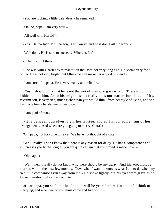«You are looking a little pale, dear,» he remarked.

«Oh, no, papa, I am very well.»

«All well with Harold?»

«Yes. His partner, Mr. Pearson, is still away, and he is doing all the work.»

«Well done. He is sure to succeed. Where is Ida?»

«In her room, I think.»

 «She was with Charles Westmacott on the lawn not very long ago. He seems very fond of her. He is not very bright, but I think he will make her a good husband.»

«I am sure of it, papa. He is very manly and reliable.»

 «Yes, I should think that he is not the sort of man who goes wrong. There is nothing hidden about him. As to his brightness, it really does not matter, for his aunt, Mrs. Westmacott, is very rich, much richer than you would think from her style of living, and she has made him a handsome provision.»

«I am glad of that.»

 «It is between ourselves. I am her trustee, and so I know something of her arrangements. And when are you going to marry, Clara?»

"Oh, papa, not for some time yet. We have not thought of a date.

 «Well, really, I don't know that there is any reason for delay. He has a competence and it increases yearly. As long as you are quite certain that your mind is made up  $-\rightarrow \infty$ 

«Oh, papa!»

 «Well, then, I really do not know why there should be any delay. And Ida, too, must be married within the next few months. Now, what I want to know is what I am to do when my two little companions run away from me.» He spoke lightly, but his eyes were grave as he looked questioningly at his daughter.

 «Dear papa, you shall not be alone. It will be years before Harold and I think of marrying, and when we do you must come and live with us.»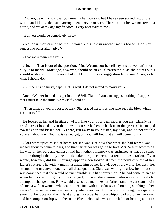«No, no, dear. I know that you mean what you say, but I have seen something of the world, and I know that such arrangements never answer. There cannot be two masters in a house, and yet at my age my freedom is very necessary to me.»

«But you would be completely free.»

 «No, dear, you cannot be that if you are a guest in another man's house. Can you suggest no other alternative?»

«That we remain with you.»

 «No, no. That is out of the question. Mrs. Westmacott herself says that a woman's first duty is to marry. Marriage, however, should be an equal partnership, as she points out. I should wish you both to marry, but still I should like a suggestion from you, Clara, as to what I should do.»

«But there is no hurry, papa. Let us wait. I do not intend to marry yet.»

 Doctor Walker looked disappointed. «Well, Clara, if you can suggest nothing, I suppose that I must take the initiative myself,» said he.

 «Then what do you propose, papa?» She braced herself as one who sees the blow which is about to fall.

 He looked at her and hesitated. «How like your poor dear mother you are, Clara!» he cried. «As I looked at you then it was as if she had come back from the grave.» He stooped towards her and kissed her. «There, run away to your sister, my dear, and do not trouble yourself about me. Nothing is settled yet, but you will find that all will come right.»

 Clara went upstairs sad at heart, for she was sure now that what she had feared was indeed about to come to pass, and that her father was going to take Mrs. Westmacott to be his wife. In her pure and earnest mind her mother's memory was enshrined as that of a saint, and the thought that any one should take her place seemed a terrible desecration. Even worse, however, did this marriage appear when looked at from the point of view of her father's future. The widow might fascinate him by her knowledge of the world, her dash, her strength, her unconventionality – all these qualities Clara was willing to allow her – but she was convinced that she would be unendurable as a life companion. She had come to an age when habits are not lightly to be changed, nor was she a woman who was at all likely to attempt to change them. How would a sensitive man like her father stand the constant strain of such a wife, a woman who was all decision, with no softness, and nothing soothing in her nature? It passed as a mere eccentricity when they heard of her stout drinking, her cigarette smoking, her occasional whiffs at a long clay pipe, her horsewhipping of a drunken servant, and her companionship with the snake Eliza, whom she was in the habit of bearing about in

CHAPTER VIII. 42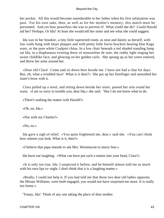her pocket. All this would become unendurable to her father when his first infatuation was past. For his own sake, then, as well as for her mother's memory, this match must be prevented. And yet how powerless she was to prevent it! What could she do? Could Harold aid her? Perhaps. Or Ida? At least she would tell her sister and see what she could suggest.

 Ida was in her boudoir, a tiny little tapestried room, as neat and dainty as herself, with low walls hung with Imari plaques and with pretty little Swiss brackets bearing blue Kaga ware, or the pure white Coalport china. In a low chair beneath a red shaded standing lamp sat Ida, in a diaphanous evening dress of mousseline de soie, the ruddy light tinging her sweet childlike face, and glowing on her golden curls. She sprang up as her sister entered, and threw her arms around her.

 «Dear old Clara! Come and sit down here beside me. I have not had a chat for days. But, oh, what a troubled face! What is it then?» She put up her forefinger and smoothed her sister's brow with it.

 Clara pulled up a stool, and sitting down beside her sister, passed her arm round her waist. «I am so sorry to trouble you, dear Ida,» she said. "But I do not know what to do.

«There's nothing the matter with Harold?»

«Oh, no, Ida.»

«Nor with my Charles?»

«No, no.»

 Ida gave a sigh of relief. «You quite frightened me, dear,» said she. «You can't think how solemn you look. What is it, then?»

«I believe that papa intends to ask Mrs. Westmacott to marry him.»

Ida burst out laughing. «What can have put such a notion into your head, Clara?»

 «It is only too true, Ida. I suspected it before, and he himself almost told me as much with his own lips to–night. I don't think that it is a laughing matter.»

 «Really, I could not help it. If you had told me that those two dear old ladies opposite, the Misses Williams, were both engaged, you would not have surprised me more. It is really too funny.»

"Funny, Ida! Think of any one taking the place of dear mother.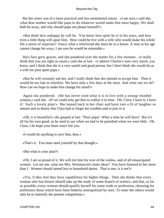But her sister was of a more practical and less sentimental nature. «I am sure,» said she, «that dear mother would like papa to do whatever would make him most happy. We shall both be away, and why should papa not please himself?»

 «But think how unhappy he will be. You know how quiet he is in his ways, and how even a little thing will upset him. How could he live with a wife who would make his whole life a series of surprises? Fancy what a whirlwind she must be in a house. A man at his age cannot change his ways. I am sure he would be miserable.»

 Ida's face grew graver, and she pondered over the matter for a few minutes. «I really think that you are right as usual,» said she at last. «I admire Charlie's aunt very much, you know, and I think that she is a very useful and good person, but I don't think she would do as a wife for poor quiet papa.»

 «But he will certainly ask her, and I really think that she intends to accept him. Then it would be too late to interfere. We have only a few days at the most. And what can we do? How can we hope to make him change his mind?»

 Again Ida pondered. «He has never tried what it is to live with a strong−minded woman,» said she. «If we could only get him to realize it in time. Oh, Clara, I have it; I have it! Such a lovely plan!» She leaned back in her chair and burst into a fit of laughter so natural and so hearty that Clara had to forget her troubles and to join in it.

 «Oh, it is beautiful!» she gasped at last. "Poor papa! What a time he will have! But it's all for his own good, as he used to say when we had to be punished when we were little. Oh, Clara, I do hope your heart won't fail you.

«I would do anything to save him, dear.»

«That's it. You must steel yourself by that thought.»

«But what is your plan?»

 «Oh, I am so proud of it. We will tire him for ever of the widow, and of all emancipated women. Let me see, what are Mrs. Westmacott's main ideas? You have listened to her more than I. Women should attend less to household duties. That is one, is it not?»

 «Yes, if they feel they have capabilities for higher things. Then she thinks that every woman who has leisure should take up the study of some branch of science, and that, as far as possible, every woman should qualify herself for some trade or profession, choosing for preference those which have been hitherto monopolized by men. To enter the others would only be to intensify the present competition.»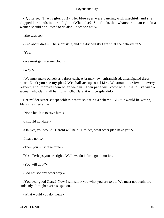« Quite so. That is glorious!» Her blue eyes were dancing with mischief, and she clapped her hands in her delight. «What else? She thinks that whatever a man can do a woman should be allowed to do also – does she not?»

«She says so.»

«And about dress? The short skirt, and the divided skirt are what she believes in?»

«Yes.»

«We must get in some cloth.»

«Why?»

 «We must make ourselves a dress each. A brand−new, enfranchised, emancipated dress, dear. Don't you see my plan? We shall act up to all Mrs. Westmacott's views in every respect, and improve them when we can. Then papa will know what it is to live with a woman who claims all her rights. Oh, Clara, it will be splendid.»

 Her milder sister sat speechless before so daring a scheme. «But it would be wrong, Ida!» she cried at last.

«Not a bit. It is to save him.»

«I should not dare.»

«Oh, yes, you would. Harold will help. Besides, what other plan have you?»

«I have none.»

«Then you must take mine.»

"Yes. Perhaps you are right. Well, we do it for a good motive.

«You will do it?»

«I do not see any other way.»

 «You dear good Clara! Now I will show you what you are to do. We must not begin too suddenly. It might excite suspicion.»

«What would you do, then?»

CHAPTER VIII. 45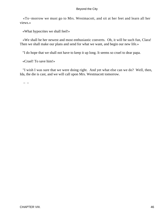«To−morrow we must go to Mrs. Westmacott, and sit at her feet and learn all her views.»

«What hypocrites we shall feel!»

 «We shall be her newest and most enthusiastic converts. Oh, it will be such fun, Clara! Then we shall make our plans and send for what we want, and begin our new life.»

"I do hope that we shall not have to keep it up long. It seems so cruel to dear papa.

«Cruel! To save him!»

 "I wish I was sure that we were doing right. And yet what else can we do? Well, then, Ida, the die is cast, and we will call upon Mrs. Westmacott tomorrow.

– –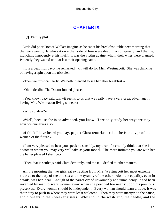# **[CHAPTER IX.](#page-106-0)**

# *A* **Family plot.**

 Little did poor Doctor Walker imagine as he sat at his breakfast−table next morning that the two sweet girls who sat on either side of him were deep in a conspiracy, and that he, munching innocently at his muffins, was the victim against whom their wiles were planned. Patiently they waited until at last their opening came.

 «It is a beautiful day,» he remarked. «It will do for Mrs. Westmacott. She was thinking of having a spin upon the tricycle.»

«Then we must call early. We both intended to see her after breakfast.»

«Oh, indeed!» The Doctor looked pleased.

 «You know, pa,» said Ida, «it seems to us that we really have a very great advantage in having Mrs. Westmacott living so near.»

«Why so, dear?»

 «Well, because she is so advanced, you know. If we only study her ways we may advance ourselves also.»

 «I think I have heard you say, papa,» Clara remarked, «that she is the type of the woman of the future.»

 «I am very pleased to hear you speak so sensibly, my dears. I certainly think that she is a woman whom you may very well take as your model. The more intimate you are with her the better pleased I shall be.»

«Then that is settled,» said Clara demurely, and the talk drifted to other matters.

 All the morning the two girls sat extracting from Mrs. Westmacott her most extreme view as to the duty of the one sex and the tyranny of the other. Absolute equality, even in details, was her ideal. Enough of the parrot cry of unwomanly and unmaidenly. It had been invented by man to scare woman away when she poached too nearly upon his precious preserves. Every woman should be independent. Every woman should learn a trade. It was their duty to push in where they were least welcome. Then they were martyrs to the cause, and pioneers to their weaker sisters. Why should the wash−tub, the needle, and the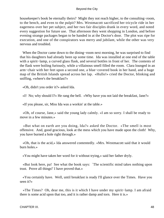housekeeper's book be eternally theirs? Might they not reach higher, to the consulting−room, to the bench, and even to the pulpit? Mrs. Westmacott sacrificed her tricycle ride in her eagerness over her pet subject, and her two fair disciples drank in every word, and noted every suggestion for future use. That afternoon they went shopping in London, and before evening strange packages began to be handed in at the Doctor's door. The plot was ripe for execution, and one of the conspirators was merry and jubilant, while the other was very nervous and troubled.

 When the Doctor came down to the dining−room next morning, he was surprised to find that his daughters had already been up some time. Ida was installed at one end of the table with a spirit−lamp, a curved glass flask, and several bottles in front of her. The contents of the flask were boiling furiously, while a villainous smell filled the room. Clara lounged in an arm−chair with her feet upon a second one, a blue−covered book in her hand, and a huge map of the British Islands spread across her lap. «Hullo!» cried the Doctor, blinking and sniffing, «where's the breakfast?»

«Oh, didn't you order it?» asked Ida.

«I! No; why should I?» He rang the bell. «Why have you not laid the breakfast, Jane?»

«If you please, sir, Miss Ida was a workin' at the table.»

 «Oh, of course, Jane,» said the young lady calmly. «I am so sorry. I shall be ready to move in a few minutes.»

 «But what on earth are you doing, Ida?» asked the Doctor. «The smell is most offensive. And, good gracious, look at the mess which you have made upon the cloth! Why, you have burned a hole right through.»

 «Oh, that is the acid,» Ida answered contentedly. «Mrs. Westmacott said that it would burn holes.»

«You might have taken her word for it without trying,» said her father dryly.

 «But look here, pa! See what the book says: `The scientific mind takes nothing upon trust. Prove all things!' I have proved that.»

 «You certainly have. Well, until breakfast is ready I'll glance over the Times. Have you seen it?»

 «The Times? Oh, dear me, this is it which I have under my spirit−lamp. I am afraid there is some acid upon that too, and it is rather damp and torn. Here it is.»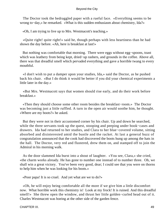The Doctor took the bedraggled paper with a rueful face. «Everything seems to be wrong to−day,» he remarked. «What is this sudden enthusiasm about chemistry, Ida?»

«Oh, I am trying to live up to Mrs. Westmacott's teaching.»

 «Quite right! quite right!» said he, though perhaps with less heartiness than he had shown the day before. «Ah, here is breakfast at last!»

 But nothing was comfortable that morning. There were eggs without egg−spoons, toast which was leathery from being kept, dried−up rashers, and grounds in the coffee. Above all, there was that dreadful smell which pervaded everything and gave a horrible twang to every mouthful.

 «I don't wish to put a damper upon your studies, Ida,» said the Doctor, as he pushed back his chair. «But I do think it would be better if you did your chemical experiments a little later in the day.»

 «But Mrs. Westmacott says that women should rise early, and do their work before breakfast.»

 «Then they should choose some other room besides the breakfast−room.» The Doctor was becoming just a little ruffled. A turn in the open air would soothe him, he thought. «Where are my boots?» he asked.

 But they were not in their accustomed corner by his chair. Up and down he searched, while the three servants took up the quest, stooping and peeping under book−cases and drawers. Ida had returned to her studies, and Clara to her blue−covered volume, sitting absorbed and disinterested amid the bustle and the racket. At last a general buzz of congratulation announced that the cook had discovered the boots hung up among the hats in the hall. The Doctor, very red and flustered, drew them on, and stamped off to join the Admiral in his morning walk.

 As the door slammed Ida burst into a shout of laughter. «You see, Clara,» she cried, «the charm works already. He has gone to number one instead of to number three. Oh, we shall win a great victory. You've been very good, dear; I could see that you were on thorns to help him when he was looking for his boots.»

«Poor papa! It is so cruel. And yet what are we to do?»

 «Oh, he will enjoy being comfortable all the more if we give him a little discomfort now. What horrible work this chemistry is! Look at my frock! It is ruined. And this dreadful smell!» She threw open the window, and thrust her little golden−curled head out of it. Charles Westmacott was hoeing at the other side of the garden fence.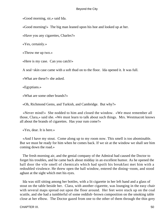«Good morning, sir,» said Ida.

«Good morning!» The big man leaned upon his hoe and looked up at her.

«Have you any cigarettes, Charles?»

«Yes, certainly.»

«Throw me up two.»

«Here is my case. Can you catch!»

A seal−skin case came with a soft thud on to the floor. Ida opened it. It was full.

«What are these?» she asked.

«Egyptians.»

«What are some other brands?»

«Oh, Richmond Gems, and Turkish, and Cambridge. But why?»

 «Never mind!» She nodded to him and closed the window. «We must remember all those, Clara,» said she. «We must learn to talk about such things. Mrs. Westmacott knows all about the brands of cigarettes. Has your rum come?»

«Yes, dear. It is here.»

 «And I have my stout. Come along up to my room now. This smell is too abominable. But we must be ready for him when he comes back. If we sit at the window we shall see him coming down the road.»

 The fresh morning air, and the genial company of the Admiral had caused the Doctor to forget his troubles, and he came back about midday in an excellent humor. As he opened the hall door the vile smell of chemicals which had spoilt his breakfast met him with a redoubled virulence. He threw open the hall window, entered the dining−room, and stood aghast at the sight which met his eyes.

 Ida was still sitting among her bottles, with a lit cigarette in her left hand and a glass of stout on the table beside her. Clara, with another cigarette, was lounging in the easy chair with several maps spread out upon the floor around. Her feet were stuck up on the coal scuttle, and she had a tumblerful of some reddish−brown composition on the smoking table close at her elbow. The Doctor gazed from one to the other of them through the thin grey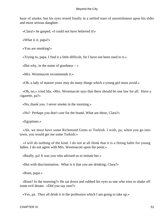haze of smoke, but his eyes rested finally in a settled stare of astonishment upon his elder and more serious daughter.

«Clara!» he gasped, «I could not have believed it!»

«What is it, papa?»

«You are smoking!»

«Trying to, papa. I find it a little difficult, for I have not been used to it.»

«But why, in the name of goodness  $-\infty$ 

«Mrs. Westmacott recommends it.»

«Oh, a lady of mature years may do many things which a young girl must avoid.»

 «Oh, no,» cried Ida, «Mrs. Westmacott says that there should be one law for all. Have a cigarette, pa?»

«No, thank you. I never smoke in the morning.»

«No? Perhaps you don't care for the brand. What are these, Clara?»

«Egyptians.»

 «Ah, we must have some Richmond Gems or Turkish. I wish, pa, when you go into town, you would get me some Turkish.»

 «I will do nothing of the kind. I do not at all think that it is a fitting habit for young ladies. I do not agree with Mrs. Westmacott upon the point.»

«Really, pa! It was you who advised us to imitate her.»

«But with discrimination. What is it that you are drinking, Clara?»

«Rum, papa.»

 «Rum? In the morning?» He sat down and rubbed his eyes as one who tries to shake off some evil dream. «Did you say rum?»

«Yes, pa. They all drink it in the profession which I am going to take up.»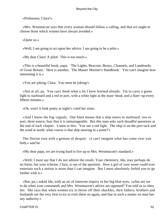«Profession, Clara?»

 «Mrs. Westmacott says that every woman should follow a calling, and that we ought to choose those which women have always avoided.»

«Quite so.»

«Well, I am going to act upon her advice. I am going to be a pilot.»

«My dear Clara! A pilot! This is too much.»

 «This is a beautiful book, papa. `The Lights, Beacons, Buoys, Channels, and Landmarks of Great Britain.' Here is another, `The Master Mariner's Handbook.' You can't imagine how interesting it is.»

«You are joking, Clara. You must be joking!»

 «Not at all, pa. You can't think what a lot I have learned already. I'm to carry a green light to starboard and a red to port, with a white light at the mast−head, and a flare−up every fifteen minutes.»

«Oh, won't it look pretty at night!» cried her sister.

 «And I know the fog−signals. One blast means that a ship steers to starboard, two to port, three astern, four that it is unmanageable. But this man asks such dreadful questions at the end of each chapter. Listen to this: `You see a red light. The ship is on the port tack and the wind at north; what course is that ship steering to a point?'»

 The Doctor rose with a gesture of despair. «I can't imagine what has come over you both,» said he.

«My dear papa, we are trying hard to live up to Mrs. Westmacott's standard.»

 «Well, I must say that I do not admire the result. Your chemistry, Ida, may perhaps do no harm; but your scheme, Clara, is out of the question. How a girl of your sense could ever entertain such a notion is more than I can imagine. But I must absolutely forbid you to go further with it.»

 «But, pa,» asked Ida, with an air of innocent inquiry in her big blue eyes, «what are we to do when your commands and Mrs. Westmacott's advice are opposed? You told us to obey her. She says that when women try to throw off their shackles, their fathers, brothers and husbands are the very first to try to rivet them on again, and that in such a matter no man has any authority.»

CHAPTER IX. 52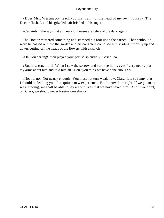«Does Mrs. Westmacott teach you that I am not the head of my own house?» The Doctor flushed, and his grizzled hair bristled in his anger.

«Certainly. She says that all heads of houses are relics of the dark ages.»

 The Doctor muttered something and stamped his foot upon the carpet. Then without a word he passed out into the garden and his daughters could see him striding furiously up and down, cutting off the heads of the flowers with a switch.

«Oh, you darling! You played your part so splendidly!» cried Ida.

 «But how cruel it is! When I saw the sorrow and surprise in his eyes I very nearly put my arms about him and told him all. Don't you think we have done enough?»

 «No, no, no. Not nearly enough. You must not turn weak now, Clara. It is so funny that I should be leading you. It is quite a new experience. But I know I am right. If we go an as we are doing, we shall be able to say all our lives that we have saved him. And if we don't, oh, Clara, we should never forgive ourselves.»

– –  $-$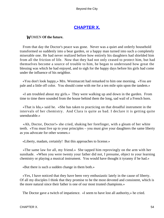# **[CHAPTER X.](#page-106-0)**

# *W*OMEN **Of the future.**

 From that day the Doctor's peace was gone. Never was a quiet and orderly household transformed so suddenly into a bear garden, or a happy man turned into such a completely miserable one. He had never realized before how entirely his daughters had shielded him from all the friction of life. Now that they had not only ceased to protect him, but had themselves become a source of trouble to him, he began to understand how great the blessing was which he had enjoyed, and to sigh for the happy days before his girls had come under the influence of his neighbor.

 «You don't look happy,» Mrs. Westmacott had remarked to him one morning. «You are pale and a little off color. You should come with me for a ten mile spin upon the tandem.»

 «I am troubled about my girls.» They were walking up and down in the garden. From time to time there sounded from the house behind them the long, sad wail of a French horn.

 «That is Ida,» said he. «She has taken to practicing on that dreadful instrument in the intervals of her chemistry. And Clara is quite as bad. I declare it is getting quite unendurable.»

 «Ah, Doctor, Doctor!» she cried, shaking her forefinger, with a gleam of her white teeth. «You must live up to your principles – you must give your daughters the same liberty as you advocate for other women.»

«Liberty, madam, certainly! But this approaches to license.»

 «The same law for all, my friend.» She tapped him reprovingly on the arm with her sunshade. «When you were twenty your father did not, I presume, object to your learning chemistry or playing a musical instrument. You would have thought it tyranny if he had.»

«But there is such a sudden change in them both.»

 «Yes, I have noticed that they have been very enthusiastic lately in the cause of liberty. Of all my disciples I think that they promise to be the most devoted and consistent, which is the more natural since their father is one of our most trusted champions.»

The Doctor gave a twitch of impatience. «I seem to have lost all authority,» he cried.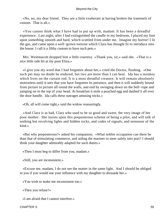«No, no, my dear friend. They are a little exuberant at having broken the trammels of custom. That is all.»

 «You cannot think what I have had to put up with, madam. It has been a dreadful experience. Last night, after I had extinguished the candle in my bedroom, I placed my foot upon something smooth and hard, which scuttled from under me. Imagine my horror! I lit the gas, and came upon a well−grown tortoise which Clara has thought fit to introduce into the house. I call it a filthy custom to have such pets.»

 Mrs. Westmacott dropped him a little courtesy. «Thank you, sir,» said she. «That is a nice little side hit at my poor Eliza.»

 «I give you my word that I had forgotten about her,» cried the Doctor, flushing. «One such pet may no doubt be endured, but two are more than I can bear. Ida has a monkey which lives on the curtain rod. It is a most dreadful creature. It will remain absolutely motionless until it sees that you have forgotten its presence, and then it will suddenly bound from picture to picture all round the walls, and end by swinging down on the bell−rope and jumping on to the top of your head. At breakfast it stole a poached egg and daubed it all over the door handle. Ida calls these outrages amusing tricks.»

«Oh, all will come right,» said the widow reassuringly.

 «And Clara is as bad, Clara who used to be so good and sweet, the very image of her poor mother. She insists upon this preposterous scheme of being a pilot, and will talk of nothing but revolving lights and hidden rocks, and codes of signals, and nonsense of the kind.»

 «But why preposterous?» asked his companion. «What nobler occupation can there be than that of stimulating commerce, and aiding the mariner to steer safely into port? I should think your daughter admirably adapted for such duties.»

«Then I must beg to differ from you, madam.»

«Still, you are inconsistent.»

 «Excuse me, madam, I do not see the matter in the same light. And I should be obliged to you if you would use your influence with my daughter to dissuade her.»

«You wish to make me inconsistent too.»

«Then you refuse?»

«I am afraid that I cannot interfere.»

CHAPTER X. 55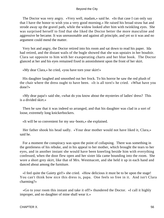The Doctor was very angry. «Very well, madam,» said he. «In that case I can only say that I have the honor to wish you a very good morning.» He raised his broad straw hat and strode away up the gravel path, while the widow looked after him with twinkling eyes. She was surprised herself to find that she liked the Doctor better the more masculine and aggressive he became. It was unreasonable and against all principle, and yet so it was and no argument could mend the matter.

 Very hot and angry, the Doctor retired into his room and sat down to read his paper. Ida had retired, and the distant wails of the bugle showed that she was upstairs in her boudoir. Clara sat opposite to him with her exasperating charts and her blue book. The Doctor glanced at her and his eyes remained fixed in astonishment upon the front of her skirt.

«My dear Clara,» he cried, «you have torn your skirt!»

 His daughter laughed and smoothed out her frock. To his horror he saw the red plush of the chair where the dress ought to have been. «It is all torn!» he cried. «What have you done?»

 «My dear papa!» said she, «what do you know about the mysteries of ladies' dress? This is a divided skirt.»

 Then he saw that it was indeed so arranged, and that his daughter was clad in a sort of loose, extremely long knickerbockers.

«It will be so convenient for my sea−boots,» she explained.

 Her father shook his head sadly. «Your dear mother would not have liked it, Clara,» said he.

 For a moment the conspiracy was upon the point of collapsing. There was something in the gentleness of his rebuke, and in his appeal to her mother, which brought the tears to her eyes, and in another instant she would have been kneeling beside him with everything confessed, when the door flew open and her sister Ida came bounding into the room. She wore a short grey skirt, like that of Mrs. Westmacott, and she held it up in each hand and danced about among the furniture.

 «I feel quite the Gaiety girl!» she cried. «How delicious it must be to be upon the stage! You can't think how nice this dress is, papa. One feels so free in it. And isn't Clara charming?»

 «Go to your room this instant and take it off!» thundered the Doctor. «I call it highly improper, and no daughter of mine shall wear it.»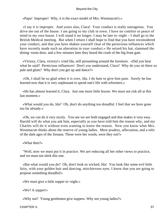«Papa! Improper! Why, it is the exact model of Mrs. Westmacott's.»

 «I say it is improper. And yours also, Clara! Your conduct is really outrageous. You drive me out of the house. I am going to my club in town. I have no comfort or peace of mind in my own house. I will stand it no longer. I may be late to−night – I shall go to the British Medical meeting. But when I return I shall hope to find that you have reconsidered your conduct, and that you have shaken yourself clear of the pernicious influences which have recently made such an alteration in your conduct.» He seized his hat, slammed the dining−room door, and a few minutes later they heard the crash of the big front gate.

 «Victory, Clara, victory!» cried Ida, still pirouetting around the furniture. «Did you hear what he said? Pernicious influences! Don't you understand, Clara? Why do you sit there so pale and glum? Why don't you get up and dance?»

 «Oh, I shall be so glad when it is over, Ida. I do hate to give him pain. Surely he has learned now that it is very unpleasant to spend one's life with reformers.»

 «He has almost learned it, Clara. Just one more little lesson. We must not risk all at this last moment.»

 «What would you do, Ida? Oh, don't do anything too dreadful. I feel that we have gone too far already.»

 «Oh, we can do it very nicely. You see we are both engaged and that makes it very easy. Harold will do what you ask him, especially as you have told him the reason why, and my Charles will do it without even wanting to know the reason. Now you know what Mrs. Westmacott thinks about the reserve of young ladies. Mere prudery, affectation, and a relic of the dark ages of the Zenana. Those were her words, were they not?»

«What then?»

 "Well, now we must put it in practice. We are reducing all her other views to practice, and we must not shirk this one.

 «But what would you do? Oh, don't look so wicked, Ida! You look like some evil little fairy, with your golden hair and dancing, mischievous eyes. I know that you are going to propose something dreadful!»

«We must give a little supper to−night.»

«We? A supper!»

«Why not? Young gentlemen give suppers. Why not young ladies?»

CHAPTER X. 57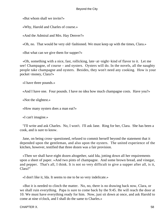«But whom shall we invite?»

«Why, Harold and Charles of course.»

«And the Admiral and Mrs. Hay Denver?»

«Oh, no. That would be very old−fashioned. We must keep up with the times, Clara.»

«But what can we give them for supper?»

 «Oh, something with a nice, fast, rollicking, late−at−night−kind of flavor to it. Let me see! Champagne, of course – and oysters. Oysters will do. In the novels, all the naughty people take champagne and oysters. Besides, they won't need any cooking. How is your pocket−money, Clara?»

«I have three pounds.»

«And I have one. Four pounds. I have no idea how much champagne costs. Have you?»

«Not the slightest.»

«How many oysters does a man eat?»

«I can't imagine.»

 "I'll write and ask Charles. No, I won't. I'll ask Jane. Ring for her, Clara. She has been a cook, and is sure to know.

 Jane, on being cross−questioned, refused to commit herself beyond the statement that it depended upon the gentleman, and also upon the oysters. The united experience of the kitchen, however, testified that three dozen was a fair provision.

 «Then we shall have eight dozen altogether, said Ida, jotting down all her requirements upon a sheet of paper. »And two pints of champagne. And some brown bread, and vinegar, and pepper. That's all, I think. It is not so very difficult to give a supper after all, is it, Clara?"

«I don't like it, Ida. It seems to me to be so very indelicate.»

 «But it is needed to clinch the matter. No, no, there is no drawing back now, Clara, or we shall ruin everything. Papa is sure to come back by the 9:45. He will reach the door at 10. We must have everything ready for him. Now, just sit down at once, and ask Harold to come at nine o'clock, and I shall do the same to Charles.»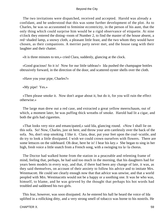The two invitations were dispatched, received and accepted. Harold was already a confidant, and he understood that this was some further development of the plot. As to Charles, he was so accustomed to feminine eccentricity, in the person of his aunt, that the only thing which could surprise him would be a rigid observance of etiquette. At nine o'clock they entered the dining−room of Number 2, to find the master of the house absent, a red−shaded lamp, a snowy cloth, a pleasant little feast, and the two whom they would have chosen, as their companions. A merrier party never met, and the house rang with their laughter and their chatter.

«It is three minutes to ten,» cried Clara, suddenly, glancing at the clock.

 «Good gracious! So it is! Now for our little tableau!» Ida pushed the champagne bottles obtrusively forward, in the direction of the door, and scattered oyster shells over the cloth.

«Have you your pipe, Charles?»

«My pipe! Yes.»

 «Then please smoke it. Now don't argue about it, but do it, for you will ruin the effect otherwise.»

 The large man drew out a red case, and extracted a great yellow meerschaum, out of which, a moment later, he was puffing thick wreaths of smoke. Harold had lit a cigar, and both the girls had cigarettes.

 «That looks very nice and emancipated,» said Ida, glancing round. «Now I shall lie on this sofa. So! Now, Charles, just sit here, and throw your arm carelessly over the back of the sofa. No, don't stop smoking. I like it. Clara, dear, put your feet upon the coal−scuttle, and do try to look a little dissipated. I wish we could crown ourselves with flowers. There are some lettuces on the sideboard. Oh dear, here he is! I hear his key.» She began to sing in her high, fresh voice a little snatch from a French song, with a swinging tra la−la chorus.

 The Doctor had walked home from the station in a peaceable and relenting frame of mind, feeling that, perhaps, he had said too much in the morning, that his daughters had for years been models in every way, and that, if there had been any change of late, it was, as they said themselves, on account of their anxiety to follow his advice and to imitate Mrs. Westmacott. He could see clearly enough now that that advice was unwise, and that a world peopled with Mrs. Westmacotts would not be a happy or a soothing one. It was he who was, himself, to blame, and he was grieved by the thought that perhaps his hot words had troubled and saddened his two girls.

 This fear, however, was soon dissipated. As he entered his hall he heard the voice of Ida uplifted in a rollicking ditty, and a very strong smell of tobacco was borne to his nostrils. He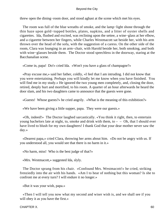threw open the dining−room door, and stood aghast at the scene which met his eyes.

The room was full of the blue wreaths of smoke, and the lamp–light shone through the thin haze upon gold−topped bottles, plates, napkins, and a litter of oyster shells and cigarettes. Ida, flushed and excited, was reclining upon the settee, a wine−glass at her elbow, and a cigarette between her fingers, while Charles Westmacott sat beside her, with his arm thrown over the head of the sofa, with the suggestion of a caress. On the other side of the room, Clara was lounging in an arm−chair, with Harold beside her, both smoking, and both with wine−glasses beside them. The Doctor stood speechless in the doorway, staring at the Bacchanalian scene.

«Come in, papa! Do!» cried Ida. «Won't you have a glass of champagne?»

 «Pray excuse me,» said her father, coldly, «I feel that I am intruding. I did not know that you were entertaining. Perhaps you will kindly let me know when you have finished. You will find me in my study.» He ignored the two young men completely, and, closing the door, retired, deeply hurt and mortified, to his room. A quarter of an hour afterwards he heard the door slam, and his two daughters came to announce that the guests were gone.

«Guests! Whose guests?» he cried angrily. «What is the meaning of this exhibition?»

«We have been giving a little supper, papa. They were our guests.»

 «Oh, indeed!» The Doctor laughed sarcastically. «You think it right, then, to entertain young bachelors late at night, to, smoke and drink with them, to  $-$  – Oh, that I should ever have lived to blush for my own daughters! I thank God that your dear mother never saw the day.»

 «Dearest papa,» cried Clara, throwing her arms about him. «Do not be angry with us. If you understood all, you would see that there is no harm in it.»

«No harm, miss! Who is the best judge of that?»

«Mrs. Westmacott,» suggested Ida, slyly.

 The Doctor sprang from his chair. «Confound Mrs. Westmacott!» he cried, striking frenziedly into the air with his hands. «Am I to hear of nothing but this woman? Is she to confront me at every turn? I will endure it no longer.»

«But it was your wish, papa.»

 «Then I will tell you now what my second and wiser wish is, and we shall see if you will obey it as you have the first.»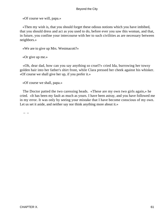«Of course we will, papa.»

 «Then my wish is, that you should forget these odious notions which you have imbibed, that you should dress and act as you used to do, before ever you saw this woman, and that, in future, you confine your intercourse with her to such civilities as are necessary between neighbors.»

«We are to give up Mrs. Westmacott?»

«Or give up me.»

 «Oh, dear dad, how can you say anything so cruel?» cried Ida, burrowing her towsy golden hair into her father's shirt front, while Clara pressed her cheek against his whisker. «Of course we shall give her up, if you prefer it.»

«Of course we shall, papa.»

 The Doctor patted the two caressing heads. «These are my own two girls again,» he cried. «It has been my fault as much as yours. I have been astray, and you have followed me in my error. It was only by seeing your mistake that I have become conscious of my own. Let us set it aside, and neither say nor think anything more about it.»

– –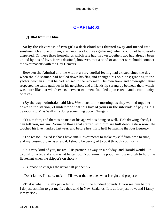# **[CHAPTER XI.](#page-106-0)**

# *A* **Blot from the blue.**

 So by the cleverness of two girls a dark cloud was thinned away and turned into sunshine. Over one of them, alas, another cloud was gathering, which could not be so easily dispersed. Of these three households which fate had thrown together, two had already been united by ties of love. It was destined, however, that a bond of another sort should connect the Westmacotts with the Hay Denvers.

 Between the Admiral and the widow a very cordial feeling had existed since the day when the old seaman had hauled down his flag and changed his opinions; granting to the yachts−woman all that he had refused to the reformer. His own frank and downright nature respected the same qualities in his neighbor, and a friendship sprang up between them which was more like that which exists between two men, founded upon esteem and a community of tastes.

 «By the way, Admiral,» said Mrs. Westmacott one morning, as they walked together down to the station, «I understand that this boy of yours in the intervals of paying his devotions to Miss Walker is doing something upon 'Change.»

 «Yes, ma'am, and there is no man of his age who is doing so well. He's drawing ahead, I can tell you, ma'am. Some of those that started with him are hull down astarn now. He touched his five hundred last year, and before he's thirty he'll be making the four figures.»

 «The reason I asked is that I have small investments to make myself from time to time, and my present broker is a rascal. I should be very glad to do it through your son.»

 «It is very kind of you, ma'am. His partner is away on a holiday, and Harold would like to push on a bit and show what he can do. You know the poop isn't big enough to hold the lieutenant when the skipper's on shore.»

«I suppose he charges the usual half per cent?»

«Don't know, I'm sure, ma'am. I'll swear that he does what is right and proper.»

 «That is what I usually pay – ten shillings in the hundred pounds. If you see him before I do just ask him to get me five thousand in New Zealands. It is at four just now, and I fancy it may rise.»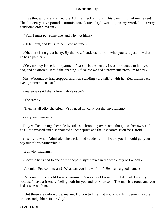«Five thousand!» exclaimed the Admiral, reckoning it in his own mind. «Lemme see! That's twenty−five pounds commission. A nice day's work, upon my word. It is a very handsome order, ma'am.»

«Well, I must pay some one, and why not him?»

«I'll tell him, and I'm sure he'll lose no time.»

 «Oh, there is no great hurry. By the way, I understand from what you said just now that he has a partner.»

 «Yes, my boy is the junior partner. Pearson is the senior. I was introduced to him years ago, and he offered Harold the opening. Of course we had a pretty stiff premium to pay.»

 Mrs. Westmacott had stopped, and was standing very stiffly with her Red Indian face even grimmer than usual.

«Pearson?» said she. «Jeremiah Pearson?»

«The same.»

«Then it's all off,» she cried. «You need not carry out that investment.»

«Very well, ma'am.»

 They walked on together side by side, she brooding over some thought of her own, and he a little crossed and disappointed at her caprice and the lost commission for Harold.

 «I tell you what, Admiral,» she exclaimed suddenly, «if I were you I should get your boy out of this partnership.»

«But why, madam?»

«Because he is tied to one of the deepest, slyest foxes in the whole city of London.»

«Jeremiah Pearson, ma'am? What can you know of him? He bears a good name.»

 «No one in this world knows Jeremiah Pearson as I know him, Admiral. I warn you because I have a friendly feeling both for you and for your son. The man is a rogue and you had best avoid him.»

 «But these are only words, ma'am. Do you tell me that you know him better than the brokers and jobbers in the City?»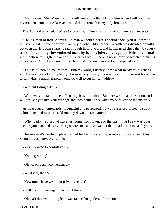«Man,» cried Mrs. Westmacott, «will you allow that I know him when I tell you that my maiden name was Ada Pearson, and that Jeremiah is my only brother?»

The Admiral whistled. «Whew! » cried he. «Now that I think of it, there is a likeness.»

 «He is a man of iron, Admiral – a man without a heart. I should shock you if I were to tell you what I have endured from my brother. My father's wealth was divided equally between us. His own share he ran through in five years, and he has tried since then by every trick of a cunning, low−minded man, by base cajolery, by legal quibbles, by brutal intimidation, to juggle me out of my share as well. There is no villainy of which the man is not capable. Oh, I know my brother Jeremiah. I know him and I am prepared for him.»

 «This is all new to me, ma'am. 'Pon my word, I hardly know what to say to it. I thank you for having spoken so plainly. From what you say, this is a poor sort of consort for a man to sail with. Perhaps Harold would do well to cut himself adrift.»

«Without losing a day.»

 «Well, we shall talk it over. You may be sure of that. But here we are at the station, so I will just see you into your carriage and then home to see what my wife says to the matter.»

 As he trudged homewards, thoughtful and perplexed, he was surprised to hear a shout behind him, and to see Harold running down the road after him.

 «Why, dad,» he cried, «I have just come from town, and the first thing I saw was your back as you marched away. But you are such a quick walker that I had to run to catch you.»

 The Admiral's smile of pleasure had broken his stern face into a thousand wrinkles. «You are early to−day,» said he.

«Yes, I wanted to consult you.»

«Nothing wrong?»

«Oh no, only an inconvenience.»

«What is it, then?»

«How much have we in our private account?»

«Pretty fair. Some eight hundred, I think.»

«Oh, half that will be ample. It was rather thoughtless of Pearson.»

CHAPTER XI. 64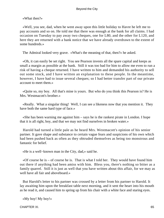«What then?»

 «Well, you see, dad, when he went away upon this little holiday to Havre he left me to pay accounts and so on. He told me that there was enough at the bank for all claims. I had occasion on Tuesday to pay away two cheques, one for L80, and the other for L120, and here they are returned with a bank notice that we have already overdrawn to the extent of some hundreds.»

The Admiral looked very grave. «What's the meaning of that, then?» he asked.

 «Oh, it can easily be set right. You see Pearson invests all the spare capital and keeps as small a margin as possible at the bank. Still it was too bad for him to allow me even to run a risk of having a cheque returned. I have written to him and demanded his authority to sell out some stock, and I have written an explanation to these people. In the meantime, however, I have had to issue several cheques; so I had better transfer part of our private account to meet them.»

 «Quite so, my boy. All that's mine is yours. But who do you think this Pearson is? He is Mrs. Westmacott's brother.»

 «Really. What a singular thing! Well, I can see a likeness now that you mention it. They have both the same hard type of face.»

 «She has been warning me against him – says he is the rankest pirate in London. I hope that it is all right, boy, and that we may not find ourselves in broken water.»

 Harold had turned a little pale as he heard Mrs. Westmacott's opinion of his senior partner. It gave shape and substance to certain vague fears and suspicions of his own which had been pushed back as often as they obtruded themselves as being too monstrous and fantastic for belief.

«He is a well−known man in the City, dad,» said he.

 «Of course he is – of course he is. That is what I told her. They would have found him out there if anything had been amiss with him. Bless you, there's nothing so bitter as a family quarrel. Still it is just as well that you have written about this affair, for we may as well have all fair and aboveboard.»

 But Harold's letter to his partner was crossed by a letter from his partner to Harold. It lay awaiting him upon the breakfast table next morning, and it sent the heart into his mouth as he read it, and caused him to spring up from his chair with a white face and staring eyes.

«My boy! My boy!»

CHAPTER XI. 65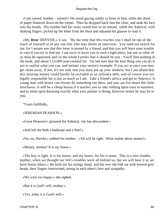«I am ruined, mother – ruined!» He stood gazing wildly in front of him, while the sheet of paper fluttered down on the carpet. Then he dropped back into the chair, and sank his face into his hands. His mother had her arms round him in an instant, while the Admiral, with shaking fingers, picked up the letter from the floor and adjusted his glasses to read it.

 «My **Dear** DENVER,» it ran. "By the time that this reaches you I shall be out of the reach of yourself or of any one else who may desire an interview. You need not search for me, for I assure you that this letter is posted by a friend, and that you will have your trouble in vain if you try to find me. I am sorry to leave you in such a tight place, but one or other of us must be squeezed, and on the whole I prefer that it should be you. You'll find nothing in the bank, and about L13,000 unaccounted for. I'm not sure that the best thing you can do is not to realize what you can, and imitate your senior's example. If you act at once you may get clean away. If not, it's not only that you must put up your shutters, but I am afraid that this missing money could hardly be included as an ordinary debt, and of course you are legally responsible for it just as much as I am. Take a friend's advice and get to America. A young man with brains can always do something out there, and you can live down this little mischance. It will be a cheap lesson if it teaches you to take nothing upon trust in business, and to insist upon knowing exactly what your partner is doing, however senior he may be to you.

"Yours faithfully,

«JEREMIAH PEARSON.»

«Great Heavens!» groaned the Admiral, «he has absconded.»

«And left me both a bankrupt and a thief.»

«No, no, Harold,» sobbed his mother. «All will be right. What matter about money!»

«Money, mother! It is my honor.»

 «The boy is right. It is his honor, and my honor, for his is mine. This is a sore trouble, mother, when we thought our life's troubles were all behind us, but we will bear it as we have borne others.» He held out his stringy hand, and the two old folk sat with bowed grey heads, their fingers intertwined, strong in each other's love and sympathy.

«We were too happy,» she sighed.

«But it is God's will, mother.»

«Yes, John, it is God's will.»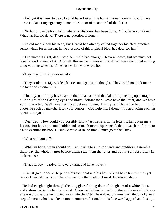«And yet it is bitter to bear. I could have lost all, the house, money, rank – I could have borne it. But at my age – my honor – the honor of an admiral of the fleet.»

 «No honor can be lost, John, where no dishonor has been done. What have you done? What has Harold done? There is no question of honor.»

 The old man shook his head, but Harold had already called together his clear practical sense, which for an instant in the presence of this frightful blow had deserted him.

 «The mater is right, dad,» said he. «It is bad enough, Heaven knows, but we must not take too dark a view of it. After all, this insolent letter is in itself evidence that I had nothing to do with the schemes of the base villain who wrote it.»

«They may think it prearranged.»

 «They could not. My whole life cries out against the thought. They could not look me in the face and entertain it.»

 «No, boy, not if they have eyes in their heads,» cried the Admiral, plucking up courage at the sight of the flashing eyes and brave, defiant face. «We have the letter, and we have your character. We'll weather it yet between them. It's my fault from the beginning for choosing such a land−shark for your consort. God help me, I thought I was finding such an opening for you.»

 «Dear dad! How could you possibly know? As he says in his letter, it has given me a lesson. But he was so much older and so much more experienced, that it was hard for me to ask to examine his books. But we must waste no time. I must go to the City.»

«What will you do?»

 «What an honest man should do. I will write to all our clients and creditors, assemble them, lay the whole matter before them, read them the letter and put myself absolutely in their hands.»

«That's it, boy – yard−arm to yard−arm, and have it over.»

 «I must go at once.» He put on his top−coat and his hat. «But I have ten minutes yet before I can catch a train. There is one little thing which I must do before I start.»

 He had caught sight through the long glass folding door of the gleam of a white blouse and a straw hat in the tennis ground. Clara used often to meet him there of a morning to say a few words before he hurried away into the City. He walked out now with the quick, firm step of a man who has taken a momentous resolution, but his face was haggard and his lips

CHAPTER XI. 67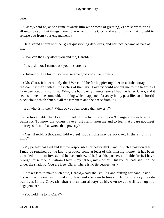pale.

 «Clara,» said he, as she came towards him with words of greeting, «I am sorry to bring ill news to you, but things have gone wrong in the City, and – and I think that I ought to release you from your engagement.»

 Clara stared at him with her great questioning dark eyes, and her face became as pale as his.

«How can the City affect you and me, Harold?»

«It is dishonor. I cannot ask you to share it.»

«Dishonor! The loss of some miserable gold and silver coins!»

 «Oh, Clara, if it were only that! We could be far happier together in a little cottage in the country than with all the riches of the City. Poverty could not cut me to the heart, as I have been cut this morning. Why, it is but twenty minutes since I had the letter, Clara, and it seems to me to be some old, old thing which happened far away in my past life, some horrid black cloud which shut out all the freshness and the peace from it.»

«But what is it, then? What do you fear worse than poverty?»

 «To have debts that I cannot meet. To be hammered upon 'Change and declared a bankrupt. To know that others have a just claim upon me and to feel that I dare not meet their eyes. Is not that worse than poverty?»

 «Yes, Harold, a thousand fold worse! But all this may be got over. Is there nothing more?»

 «My partner has fled and left me responsible for heavy debts, and in such a position that I may be required by the law to produce some at least of this missing money. It has been confided to him to invest, and he has embezzled it. I, as his partner, am liable for it. I have brought misery on all whom I love – my father, my mother. But you at least shall not be under the shadow. You are free, Clara. There is no tie between us.»

 «It takes two to make such a tie, Harold,» said she, smiling and putting her hand inside his arm. «It takes two to make it, dear, and also two to break it. Is that the way they do business in the City, sir, that a man can always at his own sweet will tear up his engagement?»

«You hold me to it, Clara?»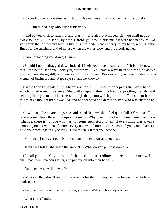«No creditor so remorseless as I, Harold. Never, never shall you get from that bond.»

«But I am ruined. My whole life is blasted.»

 «And so you wish to ruin me, and blast my life also. No indeed, sir, you shall not get away so lightly. But seriously now, Harold, you would hurt me if it were not so absurd. Do you think that a woman's love is like this sunshade which I carry in my hand, a thing only fitted for the sunshine, and of no use when the winds blow and the clouds gather?»

«I would not drag you down, Clara.»

 «Should I not be dragged down indeed if I left your side at such a time? It is only now that I can be of use to you, help you, sustain you. You have always been so strong, so above me. You are strong still, but then two will be stronger. Besides, sir, you have no idea what a woman of business I am. Papa says so, and he knows.»

 Harold tried to speak, but his heart was too full. He could only press the white hand which curled round his sleeve. She walked up and down by his side, prattling merrily, and sending little gleams of cheeriness through the gloom which girt him in. To listen to her he might have thought that it was Ida, and not her staid and demure sister, who was chatting to him.

 «It will soon be cleared up,» she said, «and then we shall feel quite dull. Of course all business men have these little ups and downs. Why, I suppose of all the men you meet upon 'Change, there is not one who has not some such story to tell. If everything was always smooth, you know, then of course every one would turn stockbroker, and you would have to hold your meetings in Hyde Park. How much is it that you need?»

«More than I can ever get. Not less than thirteen thousand pounds.»

Clara's face fell as she heard the amount. «What do you purpose doing?»

 «I shall go to the City now, and I shall ask all our creditors to meet me to−morrow. I shall read them Pearson's letter, and put myself into their hands.»

«And they, what will they do?»

 «What can they do? They will serve writs for their money, and the firm will be declared bankrupt.»

«And the meeting will be to−morrow, you say. Will you take my advice?»

«What is it, Clara?»

CHAPTER XI. 69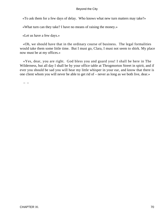«To ask them for a few days of delay. Who knows what new turn matters may take?»

«What turn can they take? I have no means of raising the money.»

«Let us have a few days.»

 «Oh, we should have that in the ordinary course of business. The legal formalities would take them some little time. But I must go, Clara, I must not seem to shirk. My place now must be at my offices.»

 «Yes, dear, you are right. God bless you and guard you! I shall be here in The Wilderness, but all day I shall be by your office table at Throgmorton Street in spirit, and if ever you should be sad you will hear my little whisper in your ear, and know that there is one client whom you will never be able to get rid of – never as long as we both live, dear.»

– –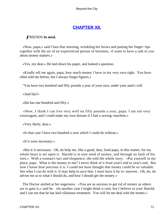# **[CHAPTER XII.](#page-106-0)**

# *F*RIENDS **In need.**

 «Now, papa,» said Clara that morning, wrinkling her brows and putting her finger−tips together with the air of an experienced person of business, «I want to have a talk to you about money matters.»

«Yes, my dear.» He laid down his paper, and looked a question.

 «Kindly tell me again, papa, how much money I have in my very own right. You have often told me before, but I always forget figures.»

"You have two hundred and fifty pounds a year of your own, under your aunt's will.

«And Ida?»

«Ida has one hundred and fifty.»

 «Now, I think I can live very well on fifty pounds a year, papa. I am not very extravagant, and I could make my own dresses if I had a sewing−machine.»

«Very likely, dear.»

«In that case I have two hundred a year which I could do without.»

«If it were necessary.»

 «But it is necessary. Oh, do help me, like a good, dear, kind papa, in this matter, for my whole heart is set upon it. Harold is in sore need of money, and through no fault of his own.» With a woman's tact and eloquence, she told the whole story. «Put yourself in my place, papa. What is the money to me? I never think of it from year's end to year's end. But now I know how precious it is. I could not have thought that money could be so valuable. See what I can do with it. It may help to save him. I must have it by to−morrow. Oh, do, do advise me as to what I should do, and how I should get the money.»

 The Doctor smiled at her eagerness. «You are as anxious to get rid of money as others are to gain it,» said he. «In another case I might think it rash, but I believe in your Harold, and I can see that he has had villainous treatment. You will let me deal with the matter.»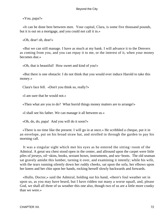«You, papa?»

 «It can be done best between men. Your capital, Clara, is some five thousand pounds, but it is out on a mortgage, and you could not call it in.»

«Oh, dear! oh, dear!»

 «But we can still manage. I have as much at my bank. I will advance it to the Denvers as coming from you, and you can repay it to me, or the interest of it, when your money becomes due.»

«Oh, that is beautiful! How sweet and kind of you!»

 «But there is one obstacle: I do not think that you would ever induce Harold to take this money.»

Clara's face fell. «Don't you think so, really?»

«I am sure that he would not.»

«Then what are you to do? What horrid things money matters are to arrange!»

«I shall see his father. We can manage it all between us.»

«Oh, do, do, papa! And you will do it soon?»

 «There is no time like the present. I will go in at once.» He scribbled a cheque, put it in an envelope, put on his broad straw hat, and strolled in through the garden to pay his morning call.

 It was a singular sight which met his eyes as he entered the sitting−room of the Admiral. A great sea chest stood open in the center, and allround upon the carpet were little piles of jerseys, oil−skins, books, sextant boxes, instruments, and sea−boots. The old seaman sat gravely amidst this lumber, turning it over, and examining it intently; while his wife, with the tears running silently down her ruddy cheeks, sat upon the sofa, her elbows upon her knees and her chin upon her hands, rocking herself slowly backwards and forwards.

 «Hullo, Doctor,» said the Admiral, holding out his hand, «there's foul weather set in upon us, as you may have heard, but I have ridden out many a worse squall, and, please God, we shall all three of us weather this one also, though two of us are a little more cranky than we were.»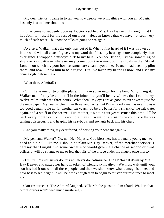«My dear friends, I came in to tell you how deeply we sympathize with you all. My girl has only just told me about it.»

 «It has come so suddenly upon us, Doctor,» sobbed Mrs. Hay Denver. "I thought that I had John to myself for the rest of our lives – Heaven knows that we have not seen very much of each other – but now he talks of going to sea again.

 «Aye, aye, Walker, that's the only way out of it. When I first heard of it I was thrown up in the wind with all aback. I give you my word that I lost my bearings more completely than ever since I strapped a middy's dirk to my belt. You see, friend, I know something of shipwreck or battle or whatever may come upon the waters, but the shoals in the City of London on which my poor boy has struck are clean beyond me. Pearson had been my pilot there, and now I know him to be a rogue. But I've taken my bearings now, and I see my course right before me.»

«What then, Admiral?»

 «Oh, I have one or two little plans. I'll have some news for the boy. Why, hang it, Walker man, I may be a bit stiff in the joints, but you'll be my witness that I can do my twelve miles under the three hours. What then? My eyes are as good as ever except just for the newspaper. My head is clear. I'm three−and−sixty, but I'm as good a man as ever I was – too good a man to lie up for another ten years. I'd be the better for a smack of the salt water again, and a whiff of the breeze. Tut, mother, it's not a four years' cruise this time. I'll be back every month or two. It's no more than if I went for a visit in the country.» He was talking boisterously, and heaping his sea−boots and sextants back into his chest.

«And you really think, my dear friend, of hoisting your pennant again?»

 «My pennant, Walker? No, no. Her Majesty, God bless her, has too many young men to need an old hulk like me. I should be plain Mr. Hay Denver, of the merchant service. I daresay that I might find some owner who would give me a chance as second or third officer. It will be strange to me to feel the rails of the bridge under my fingers once more.»

 «Tut! tut! this will never do, this will never do, Admiral!» The Doctor sat down by Mrs. Hay Denver and patted her hand in token of friendly sympathy. «We must wait until your son has had it out with all these people, and then we shall know what damage is done, and how best to set it right. It will be time enough then to begin to muster our resources to meet it.»

 «Our resources!» The Admiral laughed. «There's the pension. I'm afraid, Walker, that our resources won't need much mustering.»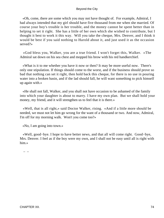«Oh, come, there are some which you may not have thought of. For example, Admiral, I had always intended that my girl should have five thousand from me when she married. Of course your boy's trouble is her trouble, and the money cannot be spent better than in helping to set it right. She has a little of her own which she wished to contribute, but I thought it best to work it this way. Will you take the cheque, Mrs. Denver, and I think it would be best if you said nothing to Harold about it, and just used it as the occasion served?»

 «God bless you, Walker, you are a true friend. I won't forget this, Walker. »The Admiral sat down on his sea chest and mopped his brow with his red handkerchief.

 «What is it to me whether you have it now or then? It may be more useful now. There's only one stipulation. If things should come to the worst, and if the business should prove so bad that nothing can set it right, then hold back this cheque, for there is no use in pouring water into a broken basin, and if the lad should fall, he will want something to pick himself up again with.»

 «He shall not fall, Walker, and you shall not have occasion to be ashamed of the family into which your daughter is about to marry. I have my own plan. But we shall hold your money, my friend, and it will strengthen us to feel that it is there.»

 «Well, that is all right,» said Doctor Walker, rising. «And if a little more should be needed, we must not let him go wrong for the want of a thousand or two. And now, Admiral, I'm off for my morning walk. Won't you come too?»

«No, I am going into town.»

 «Well, good−bye. I hope to have better news, and that all will come right. Good−bye, Mrs. Denver. I feel as if the boy were my own, and I shall not be easy until all is right with him.»

–  $-$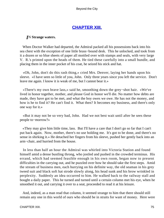# **[CHAPTER XIII.](#page-106-0)**

## <span id="page-75-0"></span>*I*N **Strange waters.**

 When Doctor Walker had departed, the Admiral packed all his possessions back into his sea chest with the exception of one little brass−bound desk. This he unlocked, and took from it a dozen or so blue sheets of paper all mottled over with stamps and seals, with very large V. R.'s printed upon the heads of them. He tied these carefully into a small bundle, and placing them in the inner pocket of his coat, he seized his stick and hat.

 «Oh, John, don't do this rash thing,» cried Mrs. Denver, laying her hands upon his sleeve. «I have seen so little of you, John. Only three years since you left the service. Don't leave me again. I know it is weak of me, but I cannot bear it.»

 «There's my own brave lass,» said he, smoothing down the grey−shot hair. «We've lived in honor together, mother, and please God in honor we'll die. No matter how debts are made, they have got to be met, and what the boy owes we owe. He has not the money, and how is he to find it? He can't find it. What then? It becomes my business, and there's only one way for it.»

 «But it may not be so very bad, John. Had we not best wait until after he sees these people to−morrow?»

 «They may give him little time, lass. But I'll have a care that I don't go so far that I can't put back again. Now, mother, there's no use holding me. It's got to be done, and there's no sense in shirking it.» He detached her fingers from his sleeve, pushed her gently back into an arm−chair, and hurried from the house.

 In less than half an hour the Admiral was whirled into Victoria Station and found himself amid a dense bustling throng, who jostled and pushed in the crowded terminus. His errand, which had seemed feasible enough in his own room, began now to present difficulties in the carrying out, and he puzzled over how he should take the first steps. Amid the stream of business men, each hurrying on his definite way, the old seaman in his grey tweed suit and black soft hat strode slowly along, his head sunk and his brow wrinkled in perplexity. Suddenly an idea occurred to him. He walked back to the railway stall and bought a daily paper. This he turned and turned until a certain column met his eye, when he smoothed it out, and carrying it over to a seat, proceeded to read it at his leisure.

 And, indeed, as a man read that column, it seemed strange to him that there should still remain any one in this world of ours who should be in straits for want of money. Here were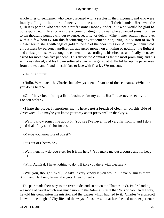whole lines of gentlemen who were burdened with a surplus in their incomes, and who were loudly calling to the poor and needy to come and take it off their hands. Here was the guileless person who was not a professional moneylender, but who would be glad to correspond, etc. Here too was the accommodating individual who advanced sums from ten to ten thousand pounds without expense, security, or delay. «The money actually paid over within a few hours,» ran this fascinating advertisement, conjuring up a vision of swift messengers rushing with bags of gold to the aid of the poor struggler. A third gentleman did all business by personal application, advanced money on anything or nothing; the lightest and airiest promise was enough to content him according to his circular, and finally he never asked for more than five per cent. This struck the Admiral as far the most promising, and his wrinkles relaxed, and his frown softened away as he gazed at it. He folded up the paper rose from the seat, and found himself face to face with Charles Westmacott.

«Hullo, Admiral!»

 «Hullo, Westmacott!» Charles had always been a favorite of the seaman's. «What are you doing here?»

 «Oh, I have been doing a little business for my aunt. But I have never seen you in London before.»

 «I hate the place. It smothers me. There's not a breath of clean air on this side of Greenwich. But maybe you know your way about pretty well in the City?»

 «Well, I know something about it. You see I've never lived very far from it, and I do a good deal of my aunt's business.»

«Maybe you know Bread Street?»

«It is out of Cheapside.»

 «Well then, how do you steer for it from here? You make me out a course and I'll keep to it.»

«Why, Admiral, I have nothing to do. I'll take you there with pleasure.»

 «Will you, though? Well, I'd take it very kindly if you would. I have business there. Smith and Hanbury, financial agents, Bread Street.»

The pair made their way to the river–side, and so down the Thames to St. Paul's landing – a mode of travel which was much more to the Admiral's taste than 'bus or cab. On the way, he told his companion his mission and the causes which had led to it. Charles Westmacott knew little enough of City life and the ways of business, but at least he had more experience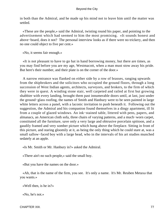in both than the Admiral, and he made up his mind not to leave him until the matter was settled.

 «These are the people,» said the Admiral, twisting round his paper, and pointing to the advertisement which had seemed to him the most promising. «It sounds honest and above−board, does it not? The personal interview looks as if there were no trickery, and then no one could object to five per cent.»

«No, it seems fair enough.»

 «It is not pleasant to have to go hat in hand borrowing money, but there are times, as you may find before you are my age, Westmacott, when a man must stow away his pride. But here's their number, and their plate is on the corner of the door.»

 A narrow entrance was flanked on either side by a row of brasses, ranging upwards from the shipbrokers and the solicitors who occupied the ground floors, through a long succession of West Indian agents, architects, surveyors, and brokers, to the firm of which they were in quest. A winding stone stair, well carpeted and railed at first but growing shabbier with every landing, brought them past innumerable doors until, at last, just under the ground−glass roofing, the names of Smith and Hanbury were to be seen painted in large white letters across a panel, with a laconic invitation to push beneath it. Following out the suggestion, the Admiral and his companion found themselves in a dingy apartment, ill lit from a couple of glazed windows. An ink−stained table, littered with pens, papers, and almanacs, an American cloth sofa, three chairs of varying patterns, and a much−worn carpet, constituted all the furniture, save only a very large and obtrusive porcelain spittoon, and a gaudily framed and very somber picture which hung above the fireplace. Sitting in front of this picture, and staring gloomily at it, as being the only thing which he could stare at, was a small sallow−faced boy with a large head, who in the intervals of his art studies munched sedately at an apple.

«Is Mr. Smith or Mr. Hanbury in?» asked the Admiral.

«There ain't no such people,» said the small boy.

«But you have the names on the door.»

 «Ah, that is the name of the firm, you see. It's only a name. It's Mr. Reuben Metaxa that you wants.»

«Well then, is he in?»

«No, he's not.»

CHAPTER XIII. 27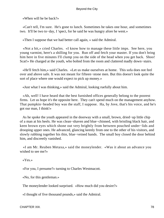«When will he be back?»

 «Can't tell, I'm sure. He's gone to lunch. Sometimes he takes one hour, and sometimes two. It'll be two to−day, I 'spect, for he said he was hungry afore he went.»

«Then I suppose that we had better call again, » said the Admiral.

 «Not a bit,» cried Charles. «I know how to manage these little imps. See here, you young varmint, here's a shilling for you. Run off and fetch your master. If you don't bring him here in five minutes I'll clump you on the side of the head when you get back. Shoo! Scat!» He charged at the youth, who bolted from the room and clattered madly down−stairs.

 «He'll fetch him,» said Charles. «Let us make ourselves at home. This sofa does not feel over and above safe. It was not meant for fifteen−stone men. But this doesn't look quite the sort of place where one would expect to pick up money.»

«Just what I was thinking,» said the Admiral, looking ruefully about him.

 «Ah, well! I have heard that the best furnished offices generally belong to the poorest firms. Let us hope it's the opposite here. They can't spend much on the management anyhow. That pumpkin−headed boy was the staff, I suppose. Ha, by Jove, that's his voice, and he's got our man, I think!»

 As he spoke the youth appeared in the doorway with a small, brown, dried−up little chip of a man at his heels. He was clean−shaven and blue−chinned, with bristling black hair, and keen brown eyes which shone out very brightly from between pouched under−lids and drooping upper ones. He advanced, glancing keenly from one to the other of his visitors, and slowly rubbing together his thin, blue−veined hands. The small boy closed the door behind him, and discreetly vanished.

 «I am Mr. Reuben Metaxa,» said the moneylender. «Was it about an advance you wished to see me?»

«Yes.»

«For you, I presume?» turning to Charles Westmacott.

«No, for this gentleman.»

The moneylender looked surprised. «How much did you desire?»

«I thought of five thousand pounds,» said the Admiral.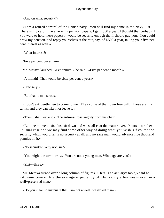«And on what security?»

 «I am a retired admiral of the British navy. You will find my name in the Navy List. There is my card. I have here my pension papers. I get L850 a year. I thought that perhaps if you were to hold these papers it would be security enough that I should pay you. You could draw my pension, and repay yourselves at the rate, say, of L500 a year, taking your five per cent interest as well.»

«What interest?»

"Five per cent per annum.

Mr. Metaxa laughed. «Per annum!» he said. «Five per cent a month.»

«A month! That would be sixty per cent a year.»

«Precisely.»

«But that is monstrous.»

 «I don't ask gentlemen to come to me. They come of their own free will. Those are my terms, and they can take it or leave it.»

«Then I shall leave it.» The Admiral rose angrily from his chair.

 «But one moment, sir. Just sit down and we shall chat the matter over. Yours is a rather unusual case and we may find some other way of doing what you wish. Of course the security which you offer is no security at all, and no sane man would advance five thousand pennies on it.»

«No security? Why not, sir?»

«You might die to−morrow. You are not a young man. What age are you?»

«Sixty−three.»

 Mr. Metaxa turned over a long column of figures. «Here is an actuary's table,» said he. «At your time of life the average expectancy of life is only a few years even in a well−preserved man.»

«Do you mean to insinuate that I am not a well−preserved man?»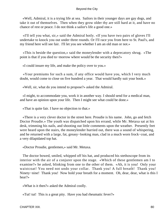«Well, Admiral, it is a trying life at sea. Sailors in their younger days are gay dogs, and take it out of themselves. Then when they grow older thy are still hard at it, and have no chance of rest or peace. I do not think a sailor's life a good one.»

 «I'll tell you what, sir,» said the Admiral hotly. «If you have two pairs of gloves I'll undertake to knock you out under three rounds. Or I'll race you from here to St. Paul's, and my friend here will see fair. I'll let you see whether I am an old man or not.»

 «This is beside the question,» said the moneylender with a deprecatory shrug. «The point is that if you died to−morrow where would be the security then?»

«I could insure my life, and make the policy over to you.»

 «Your premiums for such a sum, if any office would have you, which I very much doubt, would come to close on five hundred a year. That would hardly suit your book.»

«Well, sir, what do you intend to propose?» asked the Admiral.

 «I might, to accommodate you, work it in another way. I should send for a medical man, and have an opinion upon your life. Then I might see what could be done.»

«That is quite fair. I have no objection to that.»

 «There is a very clever doctor in the street here. Proudie is his name. John, go and fetch Doctor Proudie.» The youth was dispatched upon his errand, while Mr. Metaxa sat at his desk, trimming his nails, and shooting out little comments upon the weather. Presently feet were heard upon the stairs, the moneylender hurried out, there was a sound of whispering, and he returned with a large, fat, greasy−looking man, clad in a much worn frock−coat, and a very dilapidated top hat.

«Doctor Proudie, gentlemen,» said Mr. Metaxa.

 The doctor bowed, smiled, whipped off his hat, and produced his stethoscope from its interior with the air of a conjurer upon the stage. «Which of these gentlemen am I to examine?» he asked, blinking from one to the other of them. «Ah, it is you! Only your waistcoat! You need not undo your collar. Thank you! A full breath! Thank you! Ninety−nine! Thank you! Now hold your breath for a moment. Oh, dear, dear, what is this I hear?»

«What is it then?» asked the Admiral coolly.

«Tut! tut! This is a great pity. Have you had rheumatic fever?»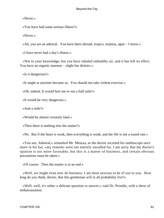«Never.»

«You have had some serious illness?»

«Never.»

«Ah, you are an admiral. You have been abroad, tropics, malaria, ague – I know.»

«I have never had a day's illness.»

 «Not to your knowledge; but you have inhaled unhealthy air, and it has left its effect. You have an organic murmur – slight but distinct.»

«Is it dangerous?»

«It might at anytime become so. You should not take violent exercise.»

«Oh, indeed. It would hurt me to run a half mile?»

«It would be very dangerous.»

«And a mile?»

«Would be almost certainly fatal.»

«Then there is nothing else the matter?»

«No. But if the heart is weak, then everything is weak, and the life is not a sound one.»

 «You see, Admiral,» remarked Mr. Metaxa, as the doctor secreted his stethoscope once more in his hat, «my remarks were not entirely uncalled for. I am sorry that the doctor's opinion is not more favorable, but this is a matter of business, and certain obvious precautions must be taken.»

«Of course. Then the matter is at an end.»

 «Well, we might even now do business. I am most anxious to be of use to you. How long do you think, doctor, that this gentleman will in all probability live?»

 «Well, well, it's rather a delicate question to answer,» said Dr. Proudie, with a show of embarrassment.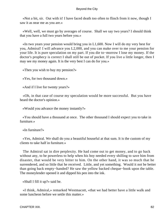«Not a bit, sir. Out with it! I have faced death too often to flinch from it now, though I saw it as near me as you are.»

 «Well, well, we must go by averages of course. Shall we say two years? I should think that you have a full two years before you.»

 «In two years your pension would bring you in L1,600. Now I will do my very best for you, Admiral! I will advance you L2,000, and you can make over to me your pension for your life. It is pure speculation on my part. If you die to−morrow I lose my money. If the doctor's prophecy is correct I shall still be out of pocket. If you live a little longer, then I may see my money again. It is the very best I can do for you.»

«Then you wish to buy my pension?»

«Yes, for two thousand down.»

«And if I live for twenty years?»

 «Oh, in that case of course my speculation would be more successful. But you have heard the doctor's opinion.»

«Would you advance the money instantly?»

 «You should have a thousand at once. The other thousand I should expect you to take in furniture.»

«In furniture?»

 «Yes, Admiral. We shall do you a beautiful houseful at that sum. It is the custom of my clients to take half in furniture.»

 The Admiral sat in dire perplexity. He had come out to get money, and to go back without any, to be powerless to help when his boy needed every shilling to save him from disaster, that would be very bitter to him. On the other hand, it was so much that he surrendered, and so little that he received. Little, and yet something. Would it not be better than going back empty−handed? He saw the yellow backed cheque−book upon the table. The moneylender opened it and dipped his pen into the ink.

«Shall I fill it up?» said he.

 «I think, Admiral,» remarked Westmacott, «that we had better have a little walk and some luncheon before we settle this matter.»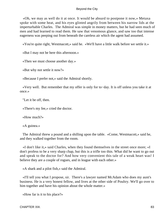«Oh, we may as well do it at once. It would be absurd to postpone it now,» Metaxa spoke with some heat, and his eyes glinted angrily from between his narrow lids at the imperturbable Charles. The Admiral was simple in money matters, but he had seen much of men and had learned to read them. He saw that venomous glance, and saw too that intense eagerness was peeping out from beneath the careless air which the agent had assumed.

«You're quite right, Westmacott,» said he. «We'll have a little walk before we settle it.»

«But I may not be here this afternoon.»

«Then we must choose another day.»

«But why not settle it now?»

«Because I prefer not,» said the Admiral shortly.

 «Very well. But remember that my offer is only for to−day. It is off unless you take it at once.»

"Let it be off, then.

«There's my fee,» cried the doctor.

«How much?»

«A guinea.»

 The Admiral threw a pound and a shilling upon the table. «Come, Westmacott,» said he, and they walked together from the room.

 «I don't like it,» said Charles, when they found themselves in the street once more; «I don't profess to be a very sharp chap, but this is a trifle too thin. What did he want to go out and speak to the doctor for? And how very convenient this tale of a weak heart was! I believe they are a couple of rogues, and in league with each other.»

«A shark and a pilot fish,» said the Admiral.

 «I'll tell you what I propose, sir. There's a lawyer named McAdam who does my aunt's business. He is a very honest fellow, and lives at the other side of Poultry. We'll go over to him together and have his opinion about the whole matter.»

«How far is it to his place?»

CHAPTER XIII. 83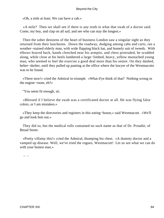«Oh, a mile at least. We can have a cab.»

 «A mile? Then we shall see if there is any truth in what that swab of a doctor said. Come, my boy, and clap on all sail, and see who can stay the longest.»

 Then the sober denizens of the heart of business London saw a singular sight as they returned from their luncheons. Down the roadway, dodging among cabs and carts, ran a weather−stained elderly man, with wide flapping black hat, and homely suit of tweeds. With elbows braced back, hands clenched near his armpits, and chest protruded, he scudded along, while close at his heels lumbered a large−limbed, heavy, yellow mustached young man, who seemed to feel the exercise a good deal more than his senior. On they dashed, helter−skelter, until they pulled up panting at the office where the lawyer of the Westmacotts was to be found.

 «There now!» cried the Admiral in triumph. «What d'ye think of that? Nothing wrong in the engine−room, eh?»

"You seem fit enough, sir.

 «Blessed if I believe the swab was a certificated doctor at all. He was flying false colors, or I am mistaken.»

 «They keep the directories and registers in this eating−house,» said Westmacott. «We'll go and look him out.»

 They did so, but the medical rolls contained no such name as that of Dr. Proudie, of Bread Street.

 «Pretty villainy this!» cried the Admiral, thumping his chest. «A dummy doctor and a vamped up disease. Well, we've tried the rogues, Westmacott! Let us see what we can do with your honest man.»

–  $-$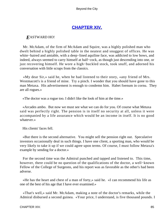# **[CHAPTER XIV.](#page-106-0)**

## <span id="page-85-0"></span>*E*ASTWARD HO!

 Mr. McAdam, of the firm of McAdam and Squire, was a highly polished man who dwelt behind a highly polished table in the neatest and snuggest of offices. He was white−haired and amiable, with a deep−lined aquiline face, was addicted to low bows, and indeed, always seemed to carry himself at half−cock, as though just descending into one, or just recovering himself. He wore a high−buckled stock, took snuff, and adorned his conversation with little scraps from the classics.

 «My dear Sir,» said he, when he had listened to their story, «any friend of Mrs. Westmacott's is a friend of mine. Try a pinch. I wonder that you should have gone to this man Metaxa. His advertisement is enough to condemn him. Habet foenum in cornu. They are all rogues.»

«The doctor was a rogue too. I didn't like the look of him at the time.»

 «Arcades ambo. But now we must see what we can do for you. Of course what Metaxa said was perfectly right. The pension is in itself no security at all, unless it were accompanied by a life assurance which would be an income in itself. It is no good whatever.»

His clients' faces fell.

 «But there is the second alternative. You might sell the pension right out. Speculative investors occasionally deal in such things. I have one client, a sporting man, who would be very likely to take it up if we could agree upon terms. Of course, I must follow Metaxa's example by sending for a doctor.»

 For the second time was the Admiral punched and tapped and listened to. This time, however, there could be no question of the qualifications of the doctor, a well−known Fellow of the College of Surgeons, and his report was as favorable as the other's had been adverse.

 «He has the heart and chest of a man of forty,» said he. «I can recommend his life as one of the best of his age that I have ever examined.»

 «That's well,» said Mr. McAdam, making a note of the doctor's remarks, while the Admiral disbursed a second guinea. «Your price, I understand, is five thousand pounds. I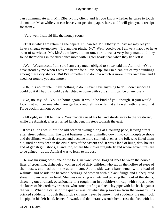can communicate with Mr. Elberry, my client, and let you know whether he cares to touch the matter. Meanwhile you can leave your pension papers here, and I will give you a receipt for them.»

«Very well. I should like the money soon.»

 «That is why I am retaining the papers. If I can see Mr. Elberry to−day we may let you have a cheque to−morrow. Try another pinch. No? Well, good−bye. I am very happy to have been of service.» Mr. McAdam bowed them out, for he was a very busy man, and they found themselves in the street once more with lighter hearts than when they bad left it.

 «Well, Westmacott, I am sure I am very much obliged to you,» said the Admiral. «You have stood by me when I was the better for a little help, for I'm clean out of my soundings among these city sharks. But I've something to do now which is more in my own line, and I need not trouble you any more.»

 «Oh, it is no trouble. I have nothing to do. I never have anything to do. I don't suppose I could do it if I had. I should be delighted to come with you, sir, if I can be of any use.»

 «No, no, my lad. You go home again. It would be kind of you, though, if you would look in at number one when you get back and tell my wife that all's well with me, and that I'll be back in an hour or so.»

 «All right, sir. I'll tell her.» Westmacott raised his hat and strode away to the westward, while the Admiral, after a hurried lunch, bent his steps towards the east.

 It was a long walk, but the old seaman swung along at a rousing pace, leaving street after street behind him. The great business places dwindled down into commonplace shops and dwellings, which decreased and became more stunted, even as the folk who filled them did, until he was deep in the evil places of the eastern end. It was a land of huge, dark houses and of garish gin−shops, a land, too, where life moves irregularly and where adventures are to be gained – as the Admiral was to learn to his cost.

 He was hurrying down one of the long, narrow, stone−flagged lanes between the double lines of crouching, disheveled women and of dirty children who sat on the hollowed steps of the houses, and basked in the autumn sun. At one side was a barrowman with a load of walnuts, and beside the barrow a bedraggled woman with a black fringe and a chequered shawl thrown over her head. She was cracking walnuts and picking them out of the shells, throwing out a remark occasionally to a rough man in a rabbit−skin cap, with straps under the knees of his corduroy trousers, who stood puffing a black clay pipe with his back against the wall. What the cause of the quarrel was, or what sharp sarcasm from the woman's lips pricked suddenly through that thick skin may never be known, but suddenly the man took his pipe in his left hand, leaned forward, and deliberately struck her across the face with his

CHAPTER XIV. 86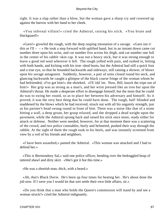right. It was a slap rather than a blow, but the woman gave a sharp cry and cowered up against the barrow with her hand to her cheek.

 «You infernal villain!» cried the Admiral, raising his stick. «You brute and blackguard!»

 «Garn!» growled the rough, with the deep rasping intonation of a savage. «Garn out o' this or  $I'll - -\rightarrow$  He took a step forward with uplifted hand, but in an instant down came cut number three upon his wrist, and cut number five across his thigh, and cut number one full in the center of his rabbit−skin cap. It was not a heavy stick, but it was strong enough to leave a good red weal wherever it fell. The rough yelled with pain, and rushed in, hitting with both hands, and kicking with his iron−shod boots, but the Admiral had still a quick foot and a true eye, so that he bounded backwards and sideways, still raining a shower, of blows upon his savage antagonist. Suddenly, however, a pair of arms closed round his neck, and glancing backwards he caught a glimpse of the black coarse fringe of the woman whom he had befriended, «I've got him!» she shrieked. «I'll 'old 'im. Now, Bill, knock the tripe out of him!» Her grip was as strong as a man's, and her wrist pressed like an iron bar upon the Admiral's throat. He made a desperate effort to disengage himself, but the most that he could do was to swing her round, so as to place her between his adversary and himself. As it proved, it was the very best thing that he could have done. The rough, half−blinded and maddened by the blows which he had received, struck out with all his ungainly strength, just as his partner's head swung round in front of him. There was a noise like that of a stone hitting a wall, a deep groan, her grasp relaxed, and she dropped a dead weight upon the pavement, while the Admiral sprang back and raised his stick once more, ready either for attack or defense. Neither were needed, however, for at that moment there was a scattering of the crowd, and two police constables, burly and helmeted, pushed their way through the rabble. At the sight of them the rough took to his heels, and was instantly screened from view by a veil of his friends and neighbors.

 «I have been assaulted,» panted the Admiral. «This woman was attacked and I had to defend her.»

 «This is Bermondsey Sal,» said one police officer, bending over the bedraggled heap of tattered shawl and dirty skirt. «She's got it hot this time.»

«He was a shortish man, thick, with a beard.»

 «Ah, that's Black Davie. He's been up four times for beating her. He's about done the job now. If I were you I would let that sort settle their own little affairs, sir.»

 «Do you think that a man who holds the Queen's commission will stand by and see a woman struck?» cried the Admiral indignantly.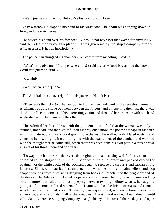«Well, just as you like, sir. But you've lost your watch, I see.»

 «My watch!» He clapped his hand to his waistcoat. The chain was hanging down in front, and the watch gone.

 He passed his hand over his forehead. «I would not have lost that watch for anything,» said he. «No money could replace it. It was given me by the ship's company after our African cruise. It has an inscription.»

The policeman shrugged his shoulders. «It comes from meddling,» said he.

 «What'll you give me if I tell yer where it is?» said a sharp−faced boy among the crowd. «Will you gimme a quid?»

«Certainly.»

«Well, where's the quid?»

The Admiral took a sovereign from his pocket. «Here it is.»

 «Then 'ere's the ticker!» The boy pointed to the clenched hand of the senseless woman. A glimmer of gold shone out from between the fingers, and on opening them up, there was the Admiral's chronometer. This interesting victim had throttled her protector with one hand, while she had robbed him with the other.

 The Admiral left his address with the policeman, satisfied that the woman was only stunned, not dead, and then set off upon his way once more, the poorer perhaps in his faith in human nature, but in very good spirits none the less. He walked with dilated nostrils and clenched hands, all glowing and tingling with the excitement of the combat, and warmed with the thought that he could still, when there was need, take his own part in a street brawl in spite of his three−score and odd years.

 His way now led towards the river−side regions, and a cleansing whiff of tar was to be detected in the stagnant autumn air. Men with the blue jersey and peaked cap of the boatman, or the white ducks of the dockers, began to replace the cardurys and fustian of the laborers. Shops with nautical instruments in the windows, rope and paint sellers, and slop shops with long rows of oilskins dangling from hooks, all proclaimed the neighborhood of the docks. The Admiral quickened his pace and straightened his figure as his surroundings became more nautical, until at last, peeping between two high, dingy wharfs, he caught a glimpse of the mud−colored waters of the Thames, and of the bristle of masts and funnels which rose from its broad bosom. To the right lay a quiet street, with many brass plates upon either side, and wire blinds in all of the windows. The Admiral walked slowly down it until «The Saint Lawrence Shipping Company» caught his eye. He crossed the road, pushed open

CHAPTER XIV. 88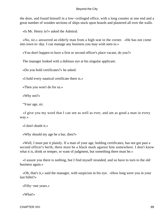the door, and found himself in a low−ceilinged office, with a long counter at one end and a great number of wooden sections of ships stuck upon boards and plastered all over the walls.

«Is Mr. Henry in?» asked the Admiral.

 «No, sir,» answered an elderly man from a high seat in the corner. «He has not come into town to−day. I can manage any business you may wish seen to.»

«You don't happen to have a first or second officer's place vacant, do you?»

The manager looked with a dubious eye at his singular applicant.

«Do you hold certificates?» he asked.

«I hold every nautical certificate there is.»

«Then you won't do for us.»

«Why not?»

"Your age, sir.

 «I give you my word that I can see as well as ever, and am as good a man in every way.»

«I don't doubt it.»

«Why should my age be a bar, then?»

 «Well, I must put it plainly. If a man of your age, holding certificates, has not got past a second officer's berth, there must be a black mark against him somewhere. I don't know what it is, drink or temper, or want of judgment, but something there must be.»

 «I assure you there is nothing, but I find myself stranded, and so have to turn to the old business again.»

 «Oh, that's it,» said the manager, with suspicion in his eye. «How long were you in your last billet?»

«Fifty−one years.»

«What!»

CHAPTER XIV. 89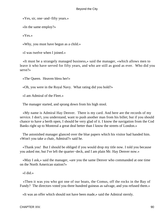«Yes, sir, one−and−fifty years.»

«In the same employ?»

«Yes.»

«Why, you must have begun as a child.»

«I was twelve when I joined.»

 «It must be a strangely managed business,» said the manager, «which allows men to leave it who have served for fifty years, and who are still as good as ever. Who did you serve?»

«The Queen. Heaven bless her!»

«Oh, you were in the Royal Navy. What rating did you hold?»

«I am Admiral of the Fleet.»

The manager started, and sprang down from his high stool.

 «My name is Admiral Hay Denver. There is my card. And here are the records of my service. I don't, you understand, want to push another man from his billet; but if you should chance to have a berth open, I should be very glad of it. I know the navigation from the Cod Banks right up to Montreal a great deal better than I know the streets of London.»

 The astonished manager glanced over the blue papers which his visitor had handed him. «Won't you take a chair, Admiral?» said he.

 «Thank you! But I should be obliged if you would drop my title now. I told you because you asked me, but I've left the quarter−deck, and I am plain Mr. Hay Denver now.»

 «May I ask,» said the manager, «are you the same Denver who commanded at one time on the North American station?»

«I did.»

 «Then it was you who got one of our boats, the Comus, off the rocks in the Bay of Fundy? The directors voted you three hundred guineas as salvage, and you refused them.»

«It was an offer which should not have been made,» said the Admiral sternly.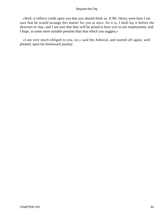«Well, it reflects credit upon you that you should think so. If Mr. Henry were here I am sure that he would arrange this matter for you at once. As it is, I shall lay it before the directors to−day, and I am sure that they will be proud to have you in our employment, and, I hope, in some more suitable position than that which you suggest.»

 «I am very much obliged to you, sir,» said the Admiral, and started off again, well pleased, upon his homeward journey.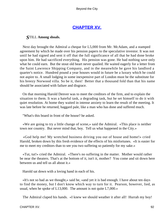# **[CHAPTER XV.](#page-106-0)**

## <span id="page-92-0"></span>*S*TILL **Among shoals.**

 Next day brought the Admiral a cheque for L5,000 from Mr. McAdam, and a stamped agreement by which he made over his pension papers to the speculative investor. It was not until he had signed and sent it off that the full significance of all that he had done broke upon him. He had sacrificed everything. His pension was gone. He had nothing save only what he could earn. But the stout old heart never quailed. He waited eagerly for a letter from the Saint Lawrence Shipping Company, and in the meanwhile he gave his landlord a quarter's notice. Hundred pound a year houses would in future be a luxury which he could not aspire to. A small lodging in some inexpensive part of London must be the substitute for his breezy Norwood villa. So be it, then! Better that a thousand fold than that his name should be associated with failure and disgrace.

 On that morning Harold Denver was to meet the creditors of the firm, and to explain the situation to them. It was a hateful task, a degrading task, but he set himself to do it with quiet resolution. At home they waited in intense anxiety to learn the result of the meeting. It was late before he returned, haggard pale, like a man who has done and suffered much.

"What's this board in front of the house? he asked.

 «We are going to try a little change of scene,» said the Admiral. «This place is neither town nor country. But never mind that, boy. Tell us what happened in the City.»

 «God help me! My wretched business driving you out of house and home!» cried Harold, broken down by this fresh evidence of the effects of his misfortunes. «It is easier for me to meet my creditors than to see you two suffering so patiently for my sake.»

 «Tut, tut!» cried the Admiral. «There's no suffering in the matter. Mother would rather be near the theaters. That's at the bottom of it, isn't it, mother? You come and sit down here between us and tell us all about it.»

Harold sat down with a loving hand in each of his.

 «It's not so bad as we thought,» said he, «and yet it is bad enough. I have about ten days to find the money, but I don't know which way to turn for it. Pearson, however, lied, as usual, when he spoke of L13,000. The amount is not quite L7,000.»

The Admiral claped his hands. «I knew we should weather it after all! Hurrah my boy!

CHAPTER XV. 92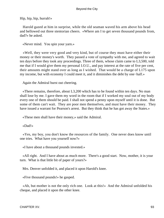Hip, hip, hip, hurrah!»

 Harold gazed at him in surprise, while the old seaman waved his arm above his head and bellowed out three stentorian cheers. «Where am I to get seven thousand pounds from, dad?» he asked.

«Never mind. You spin your yarn.»

 «Well, they were very good and very kind, but of course they must have either their money or their money's worth. They passed a vote of sympathy with me, and agreed to wait ten days before they took any proceedings. Three of them, whose claim came to L3,500, told me that if I would give them my personal I.O.U., and pay interest at the rate of five per cent, their amounts might stand over as long as I wished. That would be a charge of L175 upon my income, but with economy I could meet it, and it diminishes the debt by one−half.»

Again the Admiral burst out cheering.

 «There remains, therefore, about L3,200 which has to be found within ten days. No man shall lose by me. I gave them my word in the room that if I worked my soul out of my body every one of them should be paid. I shall not spend a penny upon myself until it is done. But some of them can't wait. They are poor men themselves, and must have their money. They have issued a warrant for Pearson's arrest. But they think that he has got away the States.»

«These men shall have their money,» said the Admiral.

«Dad!»

 «Yes, my boy, you don't know the resources of the family. One never does know until one tries. What have you yourself now?»

«I have about a thousand pounds invested.»

 «All right. And I have about as much more. There's a good start. Now, mother, it is your turn. What is that little bit of paper of yours?»

Mrs. Denver unfolded it, and placed it upon Harold's knee.

«Five thousand pounds!» he gasped.

 «Ah, but mother is not the only rich one. Look at this!» And the Admiral unfolded his cheque, and placed it upon the other knee.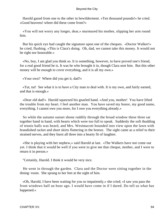Harold gazed from one to the other in bewilderment. «Ten thousand pounds!» he cried. «Good heavens! where did these come from?»

 «You will not worry any longer, dear,» murmured his mother, slipping her arm round him.

 But his quick eye had caught the signature upon one of the cheques. «Doctor Walker!» he cried, flushing. «This is Clara's doing. Oh, dad, we cannot take this money. It would not be right nor honorable.»

 «No, boy, I am glad you think so. It is something, however, to have proved one's friend, for a real good friend he is. It was he who brought it in, though Clara sent him. But this other money will be enough to cover everything, and it is all my own.»

«Your own? Where did you get it, dad?»

 «Tut, tut! See what it is to have a City man to deal with. It is my own, and fairly earned, and that is enough.»

 «Dear old dad!» Harold squeezed his gnarled hand. «And you, mother! You have lifted the trouble from my heart. I feel another man. You have saved my honor, my good name, everything. I cannot owe you more, for I owe you everything already.»

 So while the autumn sunset shone ruddily through the broad window these three sat together hand in hand, with hearts which were too full to speak. Suddenly the soft thudding of tennis balls was heard, and Mrs. Westmacott bounded into view upon the lawn with brandished racket and short skirts fluttering in the breeze. The sight came as a relief to their strained nerves, and they burst all three into a hearty fit of laughter.

 «She is playing with her nephew,» said Harold at last. «The Walkers have not come out yet. I think that it would be well if you were to give me that cheque, mother, and I were to return it in person.»

"Certainly, Harold. I think it would be very nice.

 He went in through the garden. Clara and the Doctor were sitting together in the dining−room. She sprang to her feet at the sight of him.

 «Oh, Harold, I have been waiting for you so impatiently,» she cried; «I saw you pass the front windows half an hour ago. I would have come in if I dared. Do tell us what has happened.»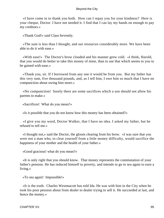«I have come in to thank you both. How can I repay you for your kindness? Here is your cheque, Doctor. I have not needed it. I find that I can lay my hands on enough to pay my creditors.»

«Thank God!» said Clara fervently.

 «The sum is less than I thought, and our resources considerably more. We have been able to do it with ease.»

 «With ease!» The Doctor's brow clouded and his manner grew cold. «I think, Harold, that you would do better to take this money of mine, than to use that which seems to you to be gained with ease.»

 «Thank you, sir. If I borrowed from any one it would be from you. But my father has this very sum, five thousand pounds, and, as I tell him, I owe him so much that I have no compunction about owing him more.»

 «No compunction! Surely there are some sacrifices which a son should not allow his parents to make.»

«Sacrifices! What do you mean?»

«Is it possible that you do not know how this money has been obtained?»

 «I give you my word, Doctor Walker, that I have no idea. I asked my father, but he refused to tell me.»

 «I thought not,» said the Doctor, the gloom clearing from his brow. «I was sure that you were not a man who, to clear yourself from a little money difficulty, would sacrifice the happiness of your mother and the health of your father.»

«Good gracious! what do you mean?»

 «It is only right that you should know. That money represents the commutation of your father's pension. He has reduced himself to poverty, and intends to go to sea again to earn a living.»

«To sea again! Impossible!»

 «It is the truth. Charles Westmacott has told Ida. He was with him in the City when he took his poor pension about from dealer to dealer trying to sell it. He succeeded at last, and hence the money.»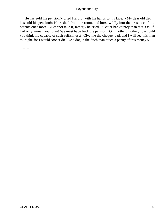«He has sold his pension!» cried Harold, with his hands to his face. «My dear old dad has sold his pension!» He rushed from the room, and burst wildly into the presence of his parents once more. «I cannot take it, father,» he cried. «Better bankruptcy than that. Oh, if I had only known your plan! We must have back the pension. Oh, mother, mother, how could you think me capable of such selfishness? Give me the cheque, dad, and I will see this man to−night, for I would sooner die like a dog in the ditch than touch a penny of this money.»

– –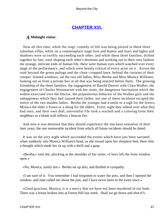# **[CHAPTER XVI.](#page-106-0)**

## <span id="page-97-0"></span>*A* **Midnight visitor.**

 Now all this time, while the tragi−comedy of life was being played in these three suburban villas, while on a commonplace stage love and humor and fears and lights and shadows were so swiftly succeeding each other, and while these three families, drifted together by fate, were shaping each other's destinies and working out in their own fashion the strange, intricate ends of human life, there were human eyes which watched over every stage of the performance, and which were keenly critical of every actor on it. Across the road beyond the green palings and the close−cropped lawn, behind the curtains of their creeper−framed windows, sat the two old ladies, Miss Bertha and Miss Monica Williams, looking out as from a private box at all that was being enacted before them. The growing friendship of the three families, the engagement of Harold Denver with Clara Walker, the engagement of Charles Westmacott with her sister, the dangerous fascination which the widow exercised over the Doctor, the preposterous behavior of the Walker girls and the unhappiness which they had caused their father, not one of these incidents escaped the notice of the two maiden ladies. Bertha the younger had a smile or a sigh for the lovers, Monica the elder a frown or a shrug for the elders. Every night they talked over what they had seen, and their own dull, uneventful life took a warmth and a coloring from their neighbors as a blank wall reflects a beacon fire.

 And now it was destined that they should experience the one keen sensation of their later years, the one memorable incident from which all future incidents should be dated.

 It was on the very night which succeeded the events which have just been narrated, when suddenly into Monica William's head, as she tossed upon her sleepless bed, there shot a thought which made her sit up with a thrill and a gasp.

 «Bertha,» said she, plucking at the shoulder of her sister, «I have left the front window open.»

«No, Monica, surely not.» Bertha sat up also, and thrilled in sympathy.

 «I am sure of it. You remember I had forgotten to water the pots, and then I opened the window, and Jane called me about the jam, and I have never been in the room since.»

 «Good gracious, Monica, it is a mercy that we have not been murdered in our beds. There was a house broken into at Forest Hill last week. Shall we go down and shut it?»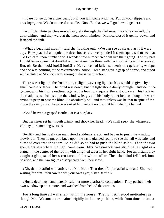«I dare not go down alone, dear, but if you will come with me. Put on your slippers and dressing−gown. We do not need a candle. Now, Bertha, we will go down together.»

 Two little white patches moved vaguely through the darkness, the stairs creaked, the door whined, and they were at the front room window. Monica closed it gently down, and fastened the snib.

 «What a beautiful moon!» said she, looking out. «We can see as clearly as if it were day. How peaceful and quiet the three houses are over yonder! It seems quite sad to see that `To Let' card upon number one. I wonder how number two will like their going. For my part I could better spare that dreadful woman at number three with her short skirts and her snake. But, oh, Bertha, look! look!! look!!!» Her voice had fallen suddenly to a quivering whisper and she was pointing to the Westmacotts' house. Her sister gave a gasp of horror, and stood with a clutch at Monica's arm, staring in the same direction.

 There was a light in the front room, a slight, wavering light such as would be given by a small candle or taper. The blind was down, but the light shone dimly through. Outside in the garden, with his figure outlined against the luminous square, there stood a man, his back to the road, his two hands upon the window ledge, and his body rather bent as though he were trying to peep in past the blind. So absolutely still and motionless was he that in spite of the moon they might well have overlooked him were it not for that tell−tale light behind.

«Good heaven!» gasped Bertha, «it is a burglar.»

 But her sister set her mouth grimly and shook her head. «We shall see,» she whispered. «It may be something worse.»

 Swiftly and furtively the man stood suddenly erect, and began to push the window slowly up. Then he put one knee upon the sash, glanced round to see that all was safe, and climbed over into the room. As he did so he had to push the blind aside. Then the two spectators saw where the light came from. Mrs. Westmacott was standing, as rigid as a statue, in the center of the room, with a lighted taper in her right hand. For an instant they caught a glimpse of her stern face and her white collar. Then the blind fell back into position, and the two figures disappeared from their view.

 «Oh, that dreadful woman!» cried Monica. «That dreadful, dreadful woman! She was waiting for him. You saw it with your own eyes, sister Bertha!»

 «Hush, dear, hush and listen!» said her more charitable companion. They pushed their own window up once more, and watched from behind the curtains.

 For a long time all was silent within the house. The light still stood motionless as though Mrs. Westmacott remained rigidly in the one position, while from time to time a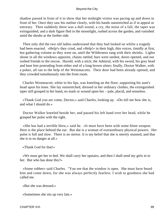shadow passed in front of it to show that her midnight visitor was pacing up and down in front of her. Once they saw his outline clearly, with his hands outstretched as if in appeal or entreaty. Then suddenly there was a dull sound, a cry, the noise of a fall, the taper was extinguished, and a dark figure fled in the moonlight, rushed across the garden, and vanished amid the shrubs at the farther side.

 Then only did the two old ladies understand that they had looked on whilst a tragedy had been enacted. «Help!» they cried, and «Help!» in their high, thin voices, timidly at first, but gathering volume as they went on, until the Wilderness rang with their shrieks. Lights shone in all the windows opposite, chains rattled, bars were unshot, doors opened, and out rushed friends to the rescue. Harold, with a stick; the Admiral, with his sword, his grey head and bare feet protruding from either end of a long brown ulster; finally, Doctor Walker, with a poker, all ran to the help of the Westmacotts. Their door had been already opened, and they crowded tumultuously into the front room.

 Charles Westmacott, white to his lips, was kneeling an the floor, supporting his aunt's head upon his knee. She lay outstretched, dressed in her ordinary clothes, the extinguished taper still grasped in her hand, no mark or wound upon her – pale, placid, and senseless.

 «Thank God you are come, Doctor,» said Charles, looking up. «Do tell me how she is, and what I should do.»

 Doctor Walker kneeled beside her, and passed his left hand over her head, while he grasped her pulse with the right.

 «She has had a terrible blow,» said he. «It must have been with some blunt weapon. Here is the place behind the ear. But she is a woman of extraordinary physical powers. Her pulse is full and slow. There is no stertor. It is my belief that she is merely stunned, and that she is in no danger at all.»

«Thank God for that!»

 «We must get her to bed. We shall carry her upstairs, and then I shall send my girls in to her. But who has done this?»

 «Some robber» said Charles. "You see that the window is open. She must have heard him and come down, for she was always perfectly fearless. I wish to goodness she had called me.

«But she was dressed.»

«Sometimes she sits up very late.»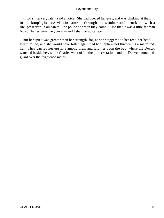«I did sit up very late,» said a voice. She had opened her eyes, and was blinking at them in the lamplight. «A villain came in through the window and struck me with a life−preserver. You can tell the police so when they come. Also that it was a little fat man. Now, Charles, give me your arm and I shall go upstairs.»

 But her spirit was greater than her strength, for, as she staggered to her feet, her head swam round, and she would have fallen again had her nephew not thrown his arms round her. They carried her upstairs among them and laid her upon the bed, where the Doctor watched beside her, while Charles went off to the police−station, and the Denvers mounted guard over the frightened maids.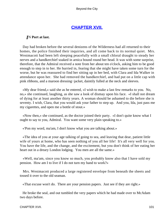# **[CHAPTER XVII.](#page-106-0)**

## <span id="page-101-0"></span>*I*N **Port at last.**

 Day had broken before the several denizens of the Wilderness had all returned to their homes, the police finished their inquiries, and all come back to its normal quiet. Mrs. Westmacott had been left sleeping peacefully with a small chloral draught to steady her nerves and a handkerchief soaked in arnica bound round her head. It was with some surprise, therefore, that the Admiral received a note from her about ten o'clock, asking him to be good enough to step in to her. He hurried in, fearing that she might have taken some turn for the worse, but he was reassured to find her sitting up in her bed, with Clara and Ida Walker in attendance upon her. She had removed the handkerchief, and had put on a little cap with pink ribbons, and a maroon dressing−jacket, daintily fulled at the neck and sleeves.

 «My dear friend,» said she as he entered, «I wish to make a last few remarks to you. No, no,» she continued, laughing, as she saw a look of dismay upon his face. «I shall not dream of dying for at least another thirty years. A woman should be ashamed to die before she is seventy. I wish, Clara, that you would ask your father to step up. And you, Ida, just pass me my cigarettes, and open me a bottle of stout.»

 «Now then,» she continued, as the doctor joined their party. «I don't quite know what I ought to say to you, Admiral. You want some very plain speaking to.»

«'Pon my word, ma'am, I don't know what you are talking about.»

 «The idea of you at your age talking of going to sea, and leaving that dear, patient little wife of yours at home, who has seen nothing of you all her life! It's all very well for you. You have the life, and the change, and the excitement, but you don't think of her eating her heart out in a dreary London lodging. You men are all the same.»

 «Well, ma'am, since you know so much, you probably know also that I have sold my pension. How am I to live if I do not turn my hand to work?»

 Mrs. Westmacott produced a large registered envelope from beneath the sheets and tossed it over to the old seaman.

«That excuse won't do. There are your pension papers. Just see if they are right.»

 He broke the seal, and out tumbled the very papers which he had made over to McAdam two days before.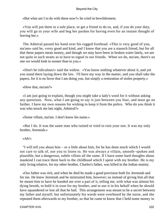«But what am I to do with these now?» he cried in bewilderment.

 «You will put them in a safe place, or get a friend to do so, and, if you do your duty, you will go to your wife and beg her pardon for having even for an instant thought of leaving her.»

 The Admiral passed his hand over his rugged forehead. «This is very good of you, ma'am» said he, «very good and kind, and I know that you are a staunch friend, but for all that these papers mean money, and though we may have been in broken water lately, we are not quite in such straits as to have to signal to our friends. When we do, ma'am, there's no one we would look to sooner than to you.»

 «Don't be ridiculous!» said the widow. «You know nothing whatever about it, and yet you stand there laying down the law. I'll have my way in the matter, and you shall take the papers, for it is no favor that I am doing you, but simply a restoration of stolen property.»

«How that, ma'am?»

 «I am just going to explain, though you might take a lady's word for it without asking any questions. Now, what I am going to say is just between you four, and must go no farther. I have my own reasons for wishing to keep it from the police. Who do you think it was who struck me last night, Admiral?»

«Some villain, ma'am. I don't know his name.»

 «But I do. It was the same man who ruined or tried to ruin your son. It was my only brother, Jeremiah.»

#### «Ah!»

 "I will tell you about him – or a little about him, for he has done much which I would not care to talk of, nor you to listen to. He was always a villain, smooth−spoken and plausible, but a dangerous, subtle villain all the same. If I have some hard thoughts about mankind I can trace them back to the childhood which I spent with my brother. He is my only living relative, for my other brother, Charles's father, was killed in the Indian mutiny.

 «Our father was rich, and when he died he made a good provision both for Jeremiah and for me. He knew Jeremiah and he mistrusted him, however; so instead of giving him all that he meant him to have he handed me over a part of it, telling me, with what was almost his dying breath, to hold it in trust for my brother, and to use it in his behalf when he should have squandered or lost all that he had. This arrangement was meant to be a secret between my father and myself, but unfortunately his words were overheard by the nurse, and she repeated them afterwards to my brother, so that he came to know that I held some money in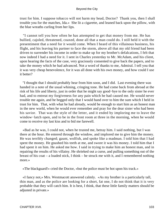trust for him. I suppose tobacco will not harm my head, Doctor? Thank you, then I shall trouble you for the matches, Ida.» She lit a cigarette, and leaned back upon the pillow, with the blue wreaths curling from her lips.

 "I cannot tell you how often he has attempted to get that money from me. He has bullied, cajoled, threatened, coaxed, done all that a man could do. I still held it with the presentiment that a need for it would come. When I heard of this villainous business, his flight, and his leaving his partner to face the storm, above all that my old friend had been driven to surrender his income in order to make up for my brother's defalcations, I felt that now indeed I had a need for it. I sent in Charles yesterday to Mr. McAdam, and his client, upon hearing the facts of the case, very graciously consented to give back the papers, and to take the money which he had advanced. Not a word of thanks to me, Admiral. I tell you that it was very cheap benevolence, for it was all done with his own money, and how could I use it better?

 "I thought that I should probably hear from him soon, and I did. Last evening there was handed in a note of the usual whining, cringing tone. He had come back from abroad at the risk of his life and liberty, just in order that he might say good−bye to the only sister he ever had, and to entreat my forgiveness for any pain which he had caused me. He would never trouble me again, and he begged only that I would hand over to him the sum which I held in trust for him. That, with what he had already, would be enough to start him as an honest man in the new world, when he would ever remember and pray for the dear sister who had been his savior. That was the style of the letter, and it ended by imploring me to leave the window−latch open, and to be in the front room at three in the morning, when he would come to receive my last kiss and to bid me farewell.

 «Bad as he was, I could not, when he trusted me, betray him. I said nothing, but I was there at the hour. He entered through the window, and implored me to give him the money. He was terribly changed; gaunt, wolfish, and spoke like a madman. I told him that I had spent the money. He gnashed his teeth at me, and swore it was his money. I told him that I had spent it on him. He asked me how. I said in trying to make him an honest man, and in repairing the results of his villainy. He shrieked out a curse, and pulling something out of the breast of his coat – a loaded stick, I think – he struck me with it, and I remembered nothing more.»

«The blackguard!» cried the Doctor, «but the police must be hot upon his track.»

 «I fancy not,» Mrs. Westmacott answered calmly. «As my brother is a particularly tall, thin man, and as the police are looking for a short, fat one, I do not think that it is very probable that they will catch him. It is best, I think, that these little family matters should be adjusted in private.»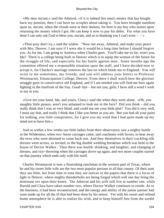«My dear ma'am,» said the Admiral, «if it is indeed this man's money that has bought back my pension, then I can have no scruples about taking it. You have brought sunshine upon us, ma'am, when the clouds were at their darkest, for here is my boy who insists upon returning the money which I got. He can keep it now to pay his debts. For what you have done I can only ask God to bless you, ma'am, and as to thanking you I can't even  $-\rightarrow$ 

 «Then pray don't try,» said the widow. "Now run away, Admiral, and make your peace with Mrs. Denver. I am sure if I were she it would be a long time before I should forgive you. As for me, I am going to America when Charles goes. You'll take me so far, won't you, Ida? There is a college being built in Denver which is to equip the woman of the future for the struggle of life, and especially for her battle against man. Some months ago the committee offered me a responsible situation upon the staff, and I have decided now to accept it, for Charles's marriage removes the last tie which binds me to England. You will write to me sometimes, my friends, and you will address your letters to Professor Westmacott, Emancipation College, Denver. From there I shall watch how the glorious struggle goes in conservative old England, and if I am needed you will find me here again fighting in the forefront of the fray. Good−bye – but not you, girls; I have still a word I wish to say to you.

 «Give me your hand, Ida, and yours, Clara,» said she when they were alone. «Oh, you naughty little pusses, aren't you ashamed to look me in the face? Did you think – did you really think that I was so very blind, and could not see your little plot? You did it very well, I must say that, and really I think that I like you better as you are. But you had all your pains for nothing, you little conspirators, for I give you my word that I had quite made up my mind not to have him.»

 And so within a few weeks our little ladies from their observatory saw a mighty bustle in the Wilderness, when two−horse carriages came, and coachmen with favors, to bear away the twos who were destined to come back one. And they themselves in their crackling silk dresses went across, as invited, to the big double wedding breakfast which was held in the house of Doctor Walker. Then there was health−drinking, and laughter, and changing of dresses, and rice−throwing when the carriages drove up again, and two more couples started on that journey which ends only with life itself.

 Charles Westmacott is now a flourishing ranchman in the western part of Texas, where he and his sweet little wife are the two most popular persons in all that county. Of their aunt they see little, but from time to time they see notices in the papers that there is a focus of light in Denver, where mighty thunderbolts are being forged which will one day bring the dominant sex upon their knees. The Admiral and his wife still live at number one, while Harold and Clara have taken number two, where Doctor Walker continues to reside. As to the business, it had been reconstructed, and the energy and ability of the junior partner had soon made up for all the ill that had been done by his senior. Yet with his sweet and refined home atmosphere he is able to realize his wish, and to keep himself free from the sordid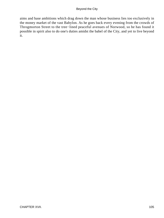aims and base ambitions which drag down the man whose business lies too exclusively in the money market of the vast Babylon. As he goes back every evening from the crowds of Throgmorton Street to the tree−lined peaceful avenues of Norwood, so he has found it possible in spirit also to do one's duties amidst the babel of the City, and yet to live beyond it.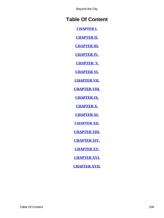# <span id="page-106-0"></span>**Table Of Content**

**[CHAPTER I.](#page-3-0)**

**[CHAPTER II.](#page-6-0)**

**[CHAPTER III.](#page-12-0)**

**[CHAPTER IV.](#page-19-0)**

**[CHAPTER V.](#page-24-0)**

**[CHAPTER VI.](#page-30-0)**

**[CHAPTER VII.](#page-36-0)**

**[CHAPTER VIII.](#page-40-0)**

**[CHAPTER IX.](#page-47-0)**

**[CHAPTER X.](#page-54-0)**

**[CHAPTER XI.](#page-62-0)**

**[CHAPTER XII.](#page-71-0)**

**[CHAPTER XIII.](#page-75-0)**

**[CHAPTER XIV.](#page-85-0)**

**[CHAPTER XV.](#page-92-0)**

**[CHAPTER XVI.](#page-97-0)**

**[CHAPTER XVII.](#page-101-0)**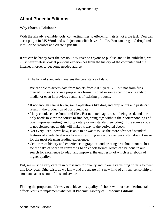# **About Phoenix Editions**

## **Why Phoenix Editions?**

With the already available tools, converting files to eBook formats is not a big task. You can use a plugin in MS Word and with just one click have a lit file. You can drag and drop html into Adobe Acrobat and create a pdf file.

If we can be happy over the possibilities given to anyone to publish and to be published, we must nevertheless look at previous experiences from the history of the computer and the internet in order to get some needed advice:

• The lack of standards threatens the persistance of data.

We are able to access data from tablets from 3.000 year B.C. but not from files created 10 years ago in a proprietary format, stored in some specific non standard media, or even in previous versions of existing products.

- If not enough care is taken, some operations like drag and drop or cut and paste can result in the production of corrupted data.
- Many ebooks come from html files. But outdated tags are still being used, and one only needs to view the source to find beginning tags without their corresponding end tags, improper nesting, and proprietary or non standard encoding. If the source code is not cleaned up, all this will make its way to the derivated ebook.
- Not every user knows how, is able to or wants to use the more advanced standard features of available ebooks formats, resulting in a work that very often doesn't make for the most pleasing reading experience.
- Centuries of history and experience in graphical and printing arts should not be lost for the sake of speed in converting to an ebook format. Much can be done in our search for excellence to adapt and improve, the end result of which is a ebook of higher quality.

But, we must be very careful in our search for quality and in our establishing criteria to meet this lofty goal. Otherwise, as we know and are aware of, a new kind of elitism, censorship or snobism can arise out of this endeavour.

Finding the proper and fair way to achieve this quality of ebook without such detrimental effects led us to implement what we at Phoenix−Library call **Phoenix Editions**.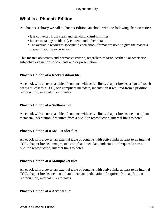# **What is a Phoenix Edition**

At Phoenix−Library we call a Phoenix Edition, an ebook with the following characteristics:

- It is converted from clean and standard xhtml/xml files
- It uses meta tags to identify content, and other data
- The available resources specific to each ebook format are used to give the reader a pleasant reading experience.

This means: objectives and normative criteria, regardless of taste, aesthetic or otherwise subjective evaluations of contents and/or presentation.

### **Phoenix Edition of a RocketEdition file:**

An ebook with a cover, a table of contents with active links, chapter breaks, a "go to" touch access at least to a TOC, oeb compliant metadata, indentation if required from a pEdition reproduction, internal links to notes.

### **Phoenix Edition of a Softbook file:**

An ebook with a cover, a table of contents with active links, chapter breaks, oeb compliant metadata, indentation if required from a pEdition reproduction, internal links to notes.

### **Phoenix Edition of a MS−Reader file:**

An ebook with a cover, an external table of contents with active links at least to an internal TOC, chapter breaks, images, oeb compliant metadata, indentation if required from a pEditon reproduction, internal links to notes.

### **Phoenix Edition of a Mobipocket file:**

An ebook with a cover, an external table of contents with active links at least to an internal TOC, chapter breaks, oeb compliant metadata, indentation if required from a pEdition reproduction, internal links to notes.

#### **Phoenix Edition of a Acrobat file:**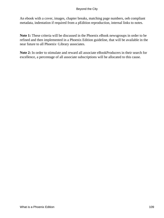An ebook with a cover, images, chapter breaks, matching page numbers, oeb compliant metadata, indentation if required from a pEdition reproduction, internal links to notes.

**Note 1:** These criteria will be discussed in the Phoenix eBook newsgroups in order to be refined and then implemented in a Phoenix Edition guideline, that will be available in the near future to all Phoenix−Library associates.

**Note 2:** In order to stimulate and reward all associate eBookProducers in their search for excellence, a percentage of all associate subscriptions will be allocated to this cause.